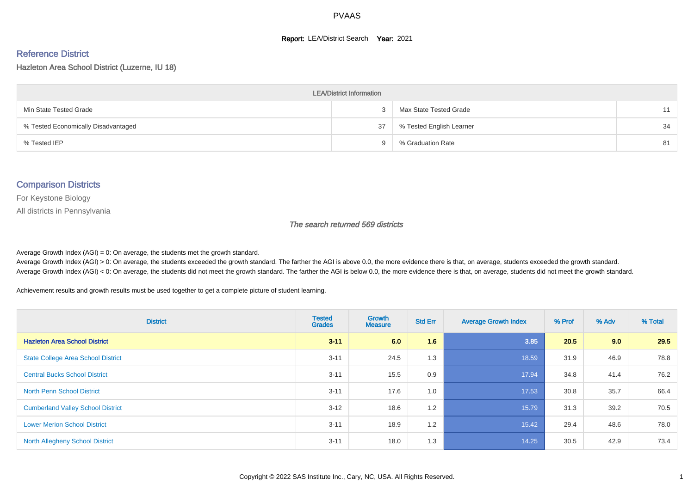#### **Report: LEA/District Search Year: 2021**

#### Reference District

Hazleton Area School District (Luzerne, IU 18)

| <b>LEA/District Information</b>     |     |                          |    |  |  |  |  |  |  |  |
|-------------------------------------|-----|--------------------------|----|--|--|--|--|--|--|--|
| Min State Tested Grade              |     | Max State Tested Grade   | 11 |  |  |  |  |  |  |  |
| % Tested Economically Disadvantaged | 37  | % Tested English Learner | 34 |  |  |  |  |  |  |  |
| % Tested IEP                        | - 1 | % Graduation Rate        | 81 |  |  |  |  |  |  |  |

#### Comparison Districts

For Keystone Biology

All districts in Pennsylvania

The search returned 569 districts

Average Growth Index  $(AGI) = 0$ : On average, the students met the growth standard.

Average Growth Index (AGI) > 0: On average, the students exceeded the growth standard. The farther the AGI is above 0.0, the more evidence there is that, on average, students exceeded the growth standard. Average Growth Index (AGI) < 0: On average, the students did not meet the growth standard. The farther the AGI is below 0.0, the more evidence there is that, on average, students did not meet the growth standard.

Achievement results and growth results must be used together to get a complete picture of student learning.

| <b>District</b>                           | <b>Tested</b><br><b>Grades</b> | <b>Growth</b><br><b>Measure</b> | <b>Std Err</b> | <b>Average Growth Index</b> | % Prof | % Adv | % Total |
|-------------------------------------------|--------------------------------|---------------------------------|----------------|-----------------------------|--------|-------|---------|
| <b>Hazleton Area School District</b>      | $3 - 11$                       | 6.0                             | 1.6            | 3.85                        | 20.5   | 9.0   | 29.5    |
| <b>State College Area School District</b> | $3 - 11$                       | 24.5                            | 1.3            | 18.59                       | 31.9   | 46.9  | 78.8    |
| <b>Central Bucks School District</b>      | $3 - 11$                       | 15.5                            | 0.9            | 17.94                       | 34.8   | 41.4  | 76.2    |
| <b>North Penn School District</b>         | $3 - 11$                       | 17.6                            | 1.0            | 17.53                       | 30.8   | 35.7  | 66.4    |
| <b>Cumberland Valley School District</b>  | $3 - 12$                       | 18.6                            | 1.2            | 15.79                       | 31.3   | 39.2  | 70.5    |
| <b>Lower Merion School District</b>       | $3 - 11$                       | 18.9                            | 1.2            | 15.42                       | 29.4   | 48.6  | 78.0    |
| <b>North Allegheny School District</b>    | $3 - 11$                       | 18.0                            | 1.3            | 14.25                       | 30.5   | 42.9  | 73.4    |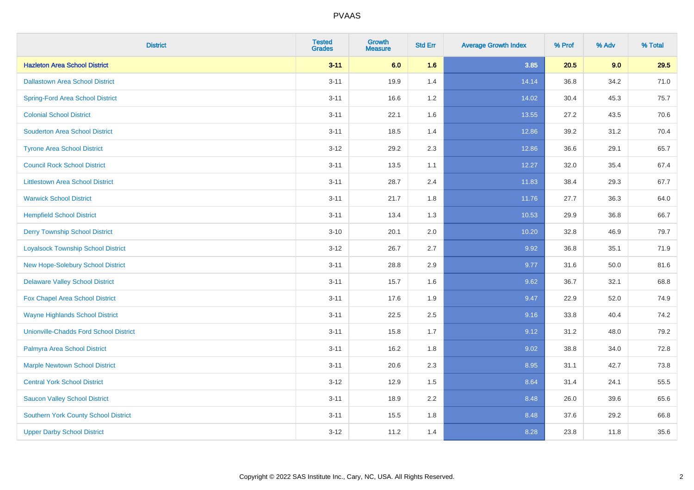| <b>District</b>                               | <b>Tested</b><br><b>Grades</b> | <b>Growth</b><br><b>Measure</b> | <b>Std Err</b> | <b>Average Growth Index</b> | % Prof | % Adv | % Total |
|-----------------------------------------------|--------------------------------|---------------------------------|----------------|-----------------------------|--------|-------|---------|
| <b>Hazleton Area School District</b>          | $3 - 11$                       | 6.0                             | 1.6            | 3.85                        | 20.5   | 9.0   | 29.5    |
| <b>Dallastown Area School District</b>        | $3 - 11$                       | 19.9                            | 1.4            | 14.14                       | 36.8   | 34.2  | 71.0    |
| <b>Spring-Ford Area School District</b>       | $3 - 11$                       | 16.6                            | 1.2            | 14.02                       | 30.4   | 45.3  | 75.7    |
| <b>Colonial School District</b>               | $3 - 11$                       | 22.1                            | 1.6            | 13.55                       | 27.2   | 43.5  | 70.6    |
| <b>Souderton Area School District</b>         | $3 - 11$                       | 18.5                            | 1.4            | 12.86                       | 39.2   | 31.2  | 70.4    |
| <b>Tyrone Area School District</b>            | $3 - 12$                       | 29.2                            | 2.3            | 12.86                       | 36.6   | 29.1  | 65.7    |
| <b>Council Rock School District</b>           | $3 - 11$                       | 13.5                            | 1.1            | 12.27                       | 32.0   | 35.4  | 67.4    |
| <b>Littlestown Area School District</b>       | $3 - 11$                       | 28.7                            | 2.4            | 11.83                       | 38.4   | 29.3  | 67.7    |
| <b>Warwick School District</b>                | $3 - 11$                       | 21.7                            | 1.8            | 11.76                       | 27.7   | 36.3  | 64.0    |
| <b>Hempfield School District</b>              | $3 - 11$                       | 13.4                            | 1.3            | 10.53                       | 29.9   | 36.8  | 66.7    |
| <b>Derry Township School District</b>         | $3 - 10$                       | 20.1                            | 2.0            | 10.20                       | 32.8   | 46.9  | 79.7    |
| <b>Loyalsock Township School District</b>     | $3 - 12$                       | 26.7                            | 2.7            | 9.92                        | 36.8   | 35.1  | 71.9    |
| New Hope-Solebury School District             | $3 - 11$                       | 28.8                            | 2.9            | 9.77                        | 31.6   | 50.0  | 81.6    |
| <b>Delaware Valley School District</b>        | $3 - 11$                       | 15.7                            | 1.6            | 9.62                        | 36.7   | 32.1  | 68.8    |
| Fox Chapel Area School District               | $3 - 11$                       | 17.6                            | 1.9            | 9.47                        | 22.9   | 52.0  | 74.9    |
| <b>Wayne Highlands School District</b>        | $3 - 11$                       | 22.5                            | 2.5            | 9.16                        | 33.8   | 40.4  | 74.2    |
| <b>Unionville-Chadds Ford School District</b> | $3 - 11$                       | 15.8                            | 1.7            | 9.12                        | 31.2   | 48.0  | 79.2    |
| Palmyra Area School District                  | $3 - 11$                       | 16.2                            | 1.8            | 9.02                        | 38.8   | 34.0  | 72.8    |
| <b>Marple Newtown School District</b>         | $3 - 11$                       | 20.6                            | 2.3            | 8.95                        | 31.1   | 42.7  | 73.8    |
| <b>Central York School District</b>           | $3 - 12$                       | 12.9                            | 1.5            | 8.64                        | 31.4   | 24.1  | 55.5    |
| <b>Saucon Valley School District</b>          | $3 - 11$                       | 18.9                            | 2.2            | 8.48                        | 26.0   | 39.6  | 65.6    |
| <b>Southern York County School District</b>   | $3 - 11$                       | 15.5                            | 1.8            | 8.48                        | 37.6   | 29.2  | 66.8    |
| <b>Upper Darby School District</b>            | $3 - 12$                       | 11.2                            | 1.4            | 8.28                        | 23.8   | 11.8  | 35.6    |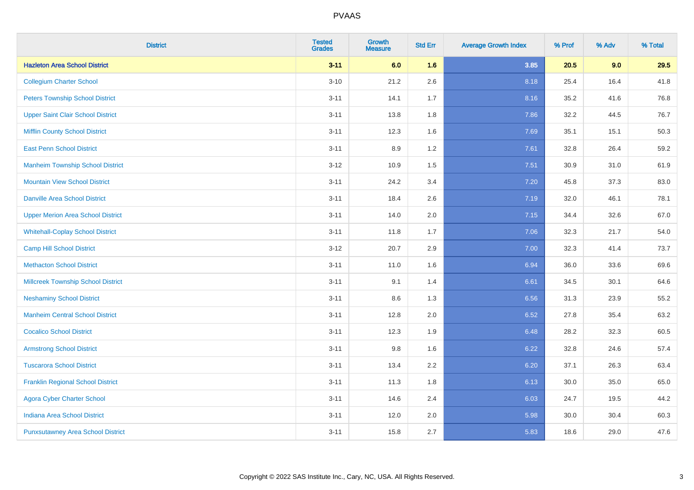| <b>District</b>                           | <b>Tested</b><br><b>Grades</b> | <b>Growth</b><br><b>Measure</b> | <b>Std Err</b> | <b>Average Growth Index</b> | % Prof | % Adv | % Total |
|-------------------------------------------|--------------------------------|---------------------------------|----------------|-----------------------------|--------|-------|---------|
| <b>Hazleton Area School District</b>      | $3 - 11$                       | 6.0                             | 1.6            | 3.85                        | 20.5   | 9.0   | 29.5    |
| <b>Collegium Charter School</b>           | $3 - 10$                       | 21.2                            | 2.6            | 8.18                        | 25.4   | 16.4  | 41.8    |
| <b>Peters Township School District</b>    | $3 - 11$                       | 14.1                            | 1.7            | 8.16                        | 35.2   | 41.6  | 76.8    |
| <b>Upper Saint Clair School District</b>  | $3 - 11$                       | 13.8                            | 1.8            | 7.86                        | 32.2   | 44.5  | 76.7    |
| <b>Mifflin County School District</b>     | $3 - 11$                       | 12.3                            | 1.6            | 7.69                        | 35.1   | 15.1  | 50.3    |
| <b>East Penn School District</b>          | $3 - 11$                       | 8.9                             | 1.2            | 7.61                        | 32.8   | 26.4  | 59.2    |
| <b>Manheim Township School District</b>   | $3-12$                         | 10.9                            | 1.5            | 7.51                        | 30.9   | 31.0  | 61.9    |
| <b>Mountain View School District</b>      | $3 - 11$                       | 24.2                            | 3.4            | 7.20                        | 45.8   | 37.3  | 83.0    |
| <b>Danville Area School District</b>      | $3 - 11$                       | 18.4                            | 2.6            | 7.19                        | 32.0   | 46.1  | 78.1    |
| <b>Upper Merion Area School District</b>  | $3 - 11$                       | 14.0                            | 2.0            | 7.15                        | 34.4   | 32.6  | 67.0    |
| <b>Whitehall-Coplay School District</b>   | $3 - 11$                       | 11.8                            | 1.7            | 7.06                        | 32.3   | 21.7  | 54.0    |
| <b>Camp Hill School District</b>          | $3 - 12$                       | 20.7                            | 2.9            | 7.00                        | 32.3   | 41.4  | 73.7    |
| <b>Methacton School District</b>          | $3 - 11$                       | 11.0                            | 1.6            | 6.94                        | 36.0   | 33.6  | 69.6    |
| <b>Millcreek Township School District</b> | $3 - 11$                       | 9.1                             | 1.4            | 6.61                        | 34.5   | 30.1  | 64.6    |
| <b>Neshaminy School District</b>          | $3 - 11$                       | 8.6                             | 1.3            | 6.56                        | 31.3   | 23.9  | 55.2    |
| <b>Manheim Central School District</b>    | $3 - 11$                       | 12.8                            | 2.0            | 6.52                        | 27.8   | 35.4  | 63.2    |
| <b>Cocalico School District</b>           | $3 - 11$                       | 12.3                            | 1.9            | 6.48                        | 28.2   | 32.3  | 60.5    |
| <b>Armstrong School District</b>          | $3 - 11$                       | 9.8                             | 1.6            | 6.22                        | 32.8   | 24.6  | 57.4    |
| <b>Tuscarora School District</b>          | $3 - 11$                       | 13.4                            | 2.2            | 6.20                        | 37.1   | 26.3  | 63.4    |
| <b>Franklin Regional School District</b>  | $3 - 11$                       | 11.3                            | 1.8            | 6.13                        | 30.0   | 35.0  | 65.0    |
| <b>Agora Cyber Charter School</b>         | $3 - 11$                       | 14.6                            | 2.4            | 6.03                        | 24.7   | 19.5  | 44.2    |
| <b>Indiana Area School District</b>       | $3 - 11$                       | 12.0                            | 2.0            | 5.98                        | 30.0   | 30.4  | 60.3    |
| <b>Punxsutawney Area School District</b>  | $3 - 11$                       | 15.8                            | 2.7            | 5.83                        | 18.6   | 29.0  | 47.6    |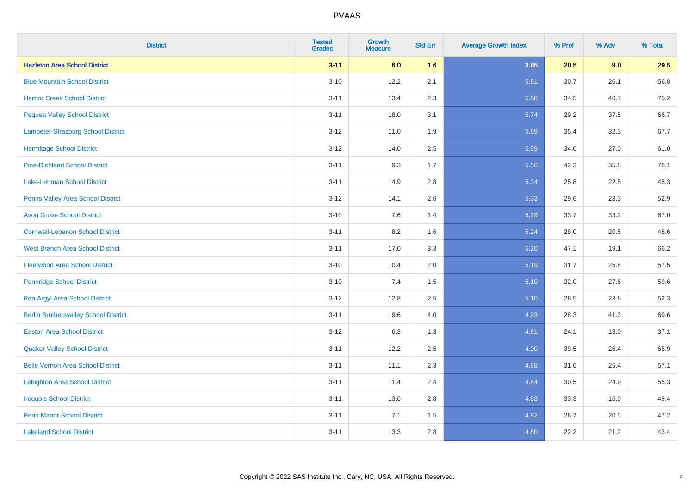| <b>District</b>                              | <b>Tested</b><br><b>Grades</b> | <b>Growth</b><br><b>Measure</b> | <b>Std Err</b> | <b>Average Growth Index</b> | % Prof | % Adv | % Total |
|----------------------------------------------|--------------------------------|---------------------------------|----------------|-----------------------------|--------|-------|---------|
| <b>Hazleton Area School District</b>         | $3 - 11$                       | 6.0                             | 1.6            | 3.85                        | 20.5   | 9.0   | 29.5    |
| <b>Blue Mountain School District</b>         | $3 - 10$                       | 12.2                            | 2.1            | 5.81                        | 30.7   | 26.1  | 56.8    |
| <b>Harbor Creek School District</b>          | $3 - 11$                       | 13.4                            | 2.3            | 5.80                        | 34.5   | 40.7  | 75.2    |
| <b>Pequea Valley School District</b>         | $3 - 11$                       | 18.0                            | 3.1            | 5.74                        | 29.2   | 37.5  | 66.7    |
| Lampeter-Strasburg School District           | $3 - 12$                       | 11.0                            | 1.9            | 5.69                        | 35.4   | 32.3  | 67.7    |
| <b>Hermitage School District</b>             | $3 - 12$                       | 14.0                            | 2.5            | 5.59                        | 34.0   | 27.0  | 61.0    |
| <b>Pine-Richland School District</b>         | $3 - 11$                       | 9.3                             | 1.7            | 5.56                        | 42.3   | 35.8  | 78.1    |
| <b>Lake-Lehman School District</b>           | $3 - 11$                       | 14.9                            | 2.8            | 5.34                        | 25.8   | 22.5  | 48.3    |
| Penns Valley Area School District            | $3 - 12$                       | 14.1                            | 2.6            | 5.33                        | 29.6   | 23.3  | 52.9    |
| <b>Avon Grove School District</b>            | $3 - 10$                       | 7.6                             | 1.4            | 5.29                        | 33.7   | 33.2  | 67.0    |
| <b>Cornwall-Lebanon School District</b>      | $3 - 11$                       | 8.2                             | 1.6            | 5.24                        | 28.0   | 20.5  | 48.6    |
| West Branch Area School District             | $3 - 11$                       | 17.0                            | 3.3            | 5.20                        | 47.1   | 19.1  | 66.2    |
| <b>Fleetwood Area School District</b>        | $3 - 10$                       | 10.4                            | 2.0            | 5.19                        | 31.7   | 25.8  | 57.5    |
| <b>Pennridge School District</b>             | $3 - 10$                       | 7.4                             | 1.5            | 5.10                        | 32.0   | 27.6  | 59.6    |
| Pen Argyl Area School District               | $3 - 12$                       | 12.8                            | 2.5            | 5.10                        | 28.5   | 23.8  | 52.3    |
| <b>Berlin Brothersvalley School District</b> | $3 - 11$                       | 19.6                            | 4.0            | 4.93                        | 28.3   | 41.3  | 69.6    |
| <b>Easton Area School District</b>           | $3-12$                         | 6.3                             | 1.3            | 4.91                        | 24.1   | 13.0  | 37.1    |
| <b>Quaker Valley School District</b>         | $3 - 11$                       | 12.2                            | 2.5            | 4.90                        | 39.5   | 26.4  | 65.9    |
| <b>Belle Vernon Area School District</b>     | $3 - 11$                       | 11.1                            | 2.3            | 4.88                        | 31.6   | 25.4  | 57.1    |
| <b>Lehighton Area School District</b>        | $3 - 11$                       | 11.4                            | 2.4            | 4.84                        | 30.5   | 24.9  | 55.3    |
| <b>Iroquois School District</b>              | $3 - 11$                       | 13.6                            | 2.8            | 4.83                        | 33.3   | 16.0  | 49.4    |
| <b>Penn Manor School District</b>            | $3 - 11$                       | 7.1                             | 1.5            | 4.82                        | 26.7   | 20.5  | 47.2    |
| <b>Lakeland School District</b>              | $3 - 11$                       | 13.3                            | 2.8            | 4.80                        | 22.2   | 21.2  | 43.4    |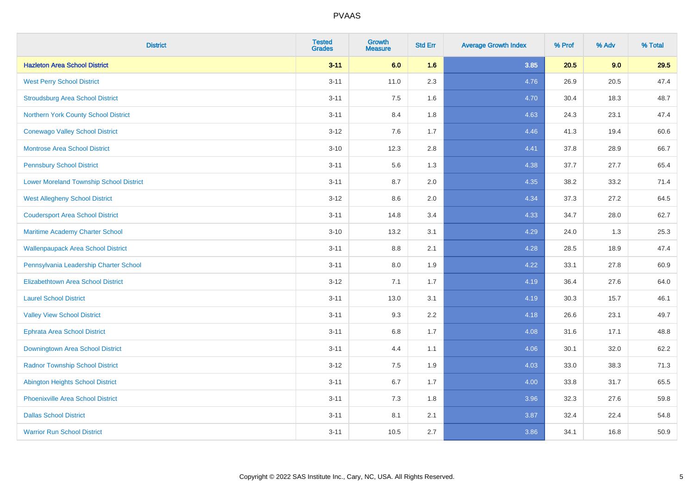| <b>District</b>                                | <b>Tested</b><br><b>Grades</b> | <b>Growth</b><br><b>Measure</b> | <b>Std Err</b> | <b>Average Growth Index</b> | % Prof | % Adv | % Total |
|------------------------------------------------|--------------------------------|---------------------------------|----------------|-----------------------------|--------|-------|---------|
| <b>Hazleton Area School District</b>           | $3 - 11$                       | 6.0                             | 1.6            | 3.85                        | 20.5   | 9.0   | 29.5    |
| <b>West Perry School District</b>              | $3 - 11$                       | 11.0                            | 2.3            | 4.76                        | 26.9   | 20.5  | 47.4    |
| <b>Stroudsburg Area School District</b>        | $3 - 11$                       | 7.5                             | 1.6            | 4.70                        | 30.4   | 18.3  | 48.7    |
| Northern York County School District           | $3 - 11$                       | 8.4                             | 1.8            | 4.63                        | 24.3   | 23.1  | 47.4    |
| <b>Conewago Valley School District</b>         | $3 - 12$                       | 7.6                             | 1.7            | 4.46                        | 41.3   | 19.4  | 60.6    |
| <b>Montrose Area School District</b>           | $3 - 10$                       | 12.3                            | 2.8            | 4.41                        | 37.8   | 28.9  | 66.7    |
| <b>Pennsbury School District</b>               | $3 - 11$                       | 5.6                             | 1.3            | 4.38                        | 37.7   | 27.7  | 65.4    |
| <b>Lower Moreland Township School District</b> | $3 - 11$                       | 8.7                             | 2.0            | 4.35                        | 38.2   | 33.2  | 71.4    |
| <b>West Allegheny School District</b>          | $3 - 12$                       | 8.6                             | 2.0            | 4.34                        | 37.3   | 27.2  | 64.5    |
| <b>Coudersport Area School District</b>        | $3 - 11$                       | 14.8                            | 3.4            | 4.33                        | 34.7   | 28.0  | 62.7    |
| Maritime Academy Charter School                | $3 - 10$                       | 13.2                            | 3.1            | 4.29                        | 24.0   | 1.3   | 25.3    |
| <b>Wallenpaupack Area School District</b>      | $3 - 11$                       | 8.8                             | 2.1            | 4.28                        | 28.5   | 18.9  | 47.4    |
| Pennsylvania Leadership Charter School         | $3 - 11$                       | 8.0                             | 1.9            | 4.22                        | 33.1   | 27.8  | 60.9    |
| <b>Elizabethtown Area School District</b>      | $3 - 12$                       | 7.1                             | 1.7            | 4.19                        | 36.4   | 27.6  | 64.0    |
| <b>Laurel School District</b>                  | $3 - 11$                       | 13.0                            | 3.1            | 4.19                        | 30.3   | 15.7  | 46.1    |
| <b>Valley View School District</b>             | $3 - 11$                       | 9.3                             | 2.2            | 4.18                        | 26.6   | 23.1  | 49.7    |
| <b>Ephrata Area School District</b>            | $3 - 11$                       | $6.8\,$                         | 1.7            | 4.08                        | 31.6   | 17.1  | 48.8    |
| Downingtown Area School District               | $3 - 11$                       | 4.4                             | 1.1            | 4.06                        | 30.1   | 32.0  | 62.2    |
| <b>Radnor Township School District</b>         | $3 - 12$                       | 7.5                             | 1.9            | 4.03                        | 33.0   | 38.3  | 71.3    |
| <b>Abington Heights School District</b>        | $3 - 11$                       | $6.7\,$                         | 1.7            | 4.00                        | 33.8   | 31.7  | 65.5    |
| Phoenixville Area School District              | $3 - 11$                       | 7.3                             | 1.8            | 3.96                        | 32.3   | 27.6  | 59.8    |
| <b>Dallas School District</b>                  | $3 - 11$                       | 8.1                             | 2.1            | 3.87                        | 32.4   | 22.4  | 54.8    |
| <b>Warrior Run School District</b>             | $3 - 11$                       | 10.5                            | 2.7            | 3.86                        | 34.1   | 16.8  | 50.9    |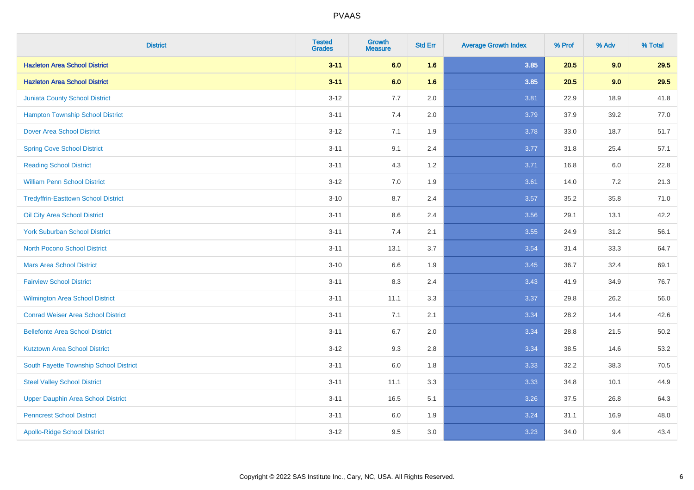| <b>District</b>                            | <b>Tested</b><br><b>Grades</b> | <b>Growth</b><br><b>Measure</b> | <b>Std Err</b> | <b>Average Growth Index</b> | % Prof | % Adv | % Total |
|--------------------------------------------|--------------------------------|---------------------------------|----------------|-----------------------------|--------|-------|---------|
| <b>Hazleton Area School District</b>       | $3 - 11$                       | 6.0                             | 1.6            | 3.85                        | 20.5   | 9.0   | 29.5    |
| <b>Hazleton Area School District</b>       | $3 - 11$                       | 6.0                             | 1.6            | 3.85                        | 20.5   | 9.0   | 29.5    |
| <b>Juniata County School District</b>      | $3 - 12$                       | 7.7                             | 2.0            | 3.81                        | 22.9   | 18.9  | 41.8    |
| <b>Hampton Township School District</b>    | $3 - 11$                       | 7.4                             | 2.0            | 3.79                        | 37.9   | 39.2  | 77.0    |
| <b>Dover Area School District</b>          | $3 - 12$                       | 7.1                             | 1.9            | 3.78                        | 33.0   | 18.7  | 51.7    |
| <b>Spring Cove School District</b>         | $3 - 11$                       | 9.1                             | 2.4            | 3.77                        | 31.8   | 25.4  | 57.1    |
| <b>Reading School District</b>             | $3 - 11$                       | 4.3                             | 1.2            | 3.71                        | 16.8   | 6.0   | 22.8    |
| <b>William Penn School District</b>        | $3 - 12$                       | 7.0                             | 1.9            | 3.61                        | 14.0   | 7.2   | 21.3    |
| <b>Tredyffrin-Easttown School District</b> | $3 - 10$                       | 8.7                             | 2.4            | 3.57                        | 35.2   | 35.8  | 71.0    |
| Oil City Area School District              | $3 - 11$                       | 8.6                             | 2.4            | 3.56                        | 29.1   | 13.1  | 42.2    |
| <b>York Suburban School District</b>       | $3 - 11$                       | 7.4                             | 2.1            | 3.55                        | 24.9   | 31.2  | 56.1    |
| <b>North Pocono School District</b>        | $3 - 11$                       | 13.1                            | 3.7            | 3.54                        | 31.4   | 33.3  | 64.7    |
| <b>Mars Area School District</b>           | $3 - 10$                       | 6.6                             | 1.9            | 3.45                        | 36.7   | 32.4  | 69.1    |
| <b>Fairview School District</b>            | $3 - 11$                       | 8.3                             | 2.4            | 3.43                        | 41.9   | 34.9  | 76.7    |
| <b>Wilmington Area School District</b>     | $3 - 11$                       | 11.1                            | 3.3            | 3.37                        | 29.8   | 26.2  | 56.0    |
| <b>Conrad Weiser Area School District</b>  | $3 - 11$                       | 7.1                             | 2.1            | 3.34                        | 28.2   | 14.4  | 42.6    |
| <b>Bellefonte Area School District</b>     | $3 - 11$                       | 6.7                             | 2.0            | 3.34                        | 28.8   | 21.5  | 50.2    |
| <b>Kutztown Area School District</b>       | $3 - 12$                       | 9.3                             | 2.8            | 3.34                        | 38.5   | 14.6  | 53.2    |
| South Fayette Township School District     | $3 - 11$                       | 6.0                             | 1.8            | 3.33                        | 32.2   | 38.3  | 70.5    |
| <b>Steel Valley School District</b>        | $3 - 11$                       | 11.1                            | 3.3            | 3.33                        | 34.8   | 10.1  | 44.9    |
| <b>Upper Dauphin Area School District</b>  | $3 - 11$                       | 16.5                            | 5.1            | 3.26                        | 37.5   | 26.8  | 64.3    |
| <b>Penncrest School District</b>           | $3 - 11$                       | 6.0                             | 1.9            | 3.24                        | 31.1   | 16.9  | 48.0    |
| <b>Apollo-Ridge School District</b>        | $3 - 12$                       | 9.5                             | 3.0            | 3.23                        | 34.0   | 9.4   | 43.4    |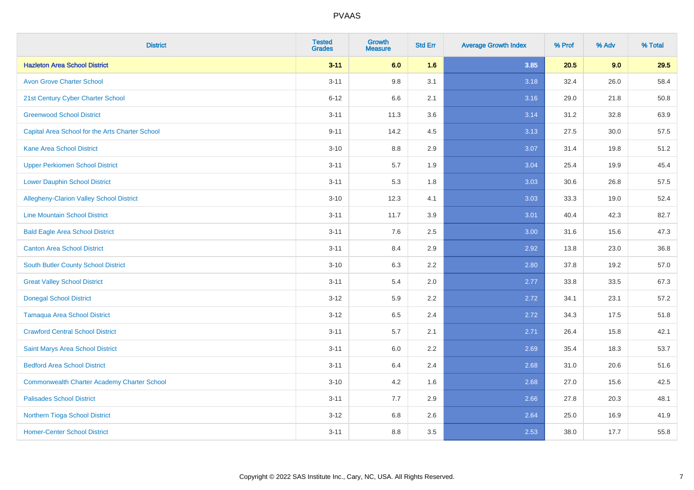| <b>District</b>                                    | <b>Tested</b><br><b>Grades</b> | <b>Growth</b><br><b>Measure</b> | <b>Std Err</b> | <b>Average Growth Index</b> | % Prof | % Adv | % Total |
|----------------------------------------------------|--------------------------------|---------------------------------|----------------|-----------------------------|--------|-------|---------|
| <b>Hazleton Area School District</b>               | $3 - 11$                       | 6.0                             | 1.6            | 3.85                        | 20.5   | 9.0   | 29.5    |
| <b>Avon Grove Charter School</b>                   | $3 - 11$                       | 9.8                             | 3.1            | 3.18                        | 32.4   | 26.0  | 58.4    |
| 21st Century Cyber Charter School                  | $6 - 12$                       | 6.6                             | 2.1            | 3.16                        | 29.0   | 21.8  | 50.8    |
| <b>Greenwood School District</b>                   | $3 - 11$                       | 11.3                            | 3.6            | 3.14                        | 31.2   | 32.8  | 63.9    |
| Capital Area School for the Arts Charter School    | $9 - 11$                       | 14.2                            | 4.5            | 3.13                        | 27.5   | 30.0  | 57.5    |
| <b>Kane Area School District</b>                   | $3 - 10$                       | 8.8                             | 2.9            | 3.07                        | 31.4   | 19.8  | 51.2    |
| <b>Upper Perkiomen School District</b>             | $3 - 11$                       | 5.7                             | 1.9            | 3.04                        | 25.4   | 19.9  | 45.4    |
| <b>Lower Dauphin School District</b>               | $3 - 11$                       | 5.3                             | 1.8            | 3.03                        | 30.6   | 26.8  | 57.5    |
| <b>Allegheny-Clarion Valley School District</b>    | $3 - 10$                       | 12.3                            | 4.1            | 3.03                        | 33.3   | 19.0  | 52.4    |
| <b>Line Mountain School District</b>               | $3 - 11$                       | 11.7                            | 3.9            | 3.01                        | 40.4   | 42.3  | 82.7    |
| <b>Bald Eagle Area School District</b>             | $3 - 11$                       | 7.6                             | 2.5            | 3.00                        | 31.6   | 15.6  | 47.3    |
| <b>Canton Area School District</b>                 | $3 - 11$                       | 8.4                             | 2.9            | 2.92                        | 13.8   | 23.0  | 36.8    |
| South Butler County School District                | $3 - 10$                       | 6.3                             | 2.2            | 2.80                        | 37.8   | 19.2  | 57.0    |
| <b>Great Valley School District</b>                | $3 - 11$                       | 5.4                             | 2.0            | 2.77                        | 33.8   | 33.5  | 67.3    |
| <b>Donegal School District</b>                     | $3-12$                         | 5.9                             | 2.2            | 2.72                        | 34.1   | 23.1  | 57.2    |
| <b>Tamaqua Area School District</b>                | $3 - 12$                       | 6.5                             | 2.4            | 2.72                        | 34.3   | 17.5  | 51.8    |
| <b>Crawford Central School District</b>            | $3 - 11$                       | 5.7                             | 2.1            | 2.71                        | 26.4   | 15.8  | 42.1    |
| Saint Marys Area School District                   | $3 - 11$                       | 6.0                             | 2.2            | 2.69                        | 35.4   | 18.3  | 53.7    |
| <b>Bedford Area School District</b>                | $3 - 11$                       | 6.4                             | 2.4            | 2.68                        | 31.0   | 20.6  | 51.6    |
| <b>Commonwealth Charter Academy Charter School</b> | $3 - 10$                       | 4.2                             | 1.6            | 2.68                        | 27.0   | 15.6  | 42.5    |
| <b>Palisades School District</b>                   | $3 - 11$                       | 7.7                             | 2.9            | 2.66                        | 27.8   | 20.3  | 48.1    |
| Northern Tioga School District                     | $3 - 12$                       | 6.8                             | 2.6            | 2.64                        | 25.0   | 16.9  | 41.9    |
| <b>Homer-Center School District</b>                | $3 - 11$                       | 8.8                             | 3.5            | 2.53                        | 38.0   | 17.7  | 55.8    |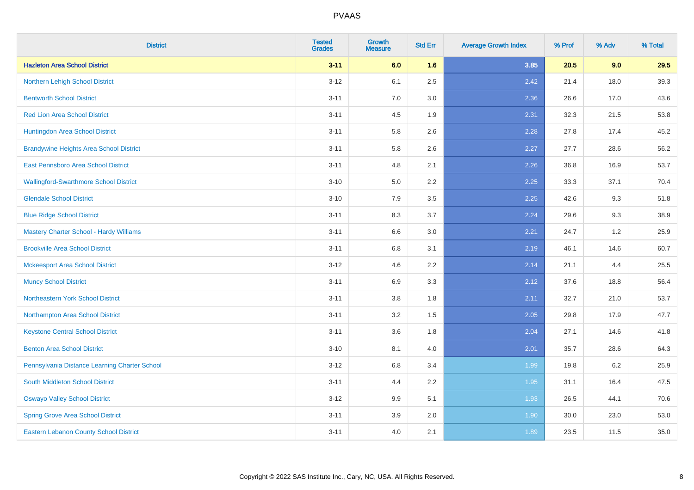| <b>District</b>                                | <b>Tested</b><br><b>Grades</b> | <b>Growth</b><br><b>Measure</b> | <b>Std Err</b> | <b>Average Growth Index</b> | % Prof | % Adv | % Total |
|------------------------------------------------|--------------------------------|---------------------------------|----------------|-----------------------------|--------|-------|---------|
| <b>Hazleton Area School District</b>           | $3 - 11$                       | 6.0                             | 1.6            | 3.85                        | 20.5   | 9.0   | 29.5    |
| Northern Lehigh School District                | $3 - 12$                       | 6.1                             | 2.5            | 2.42                        | 21.4   | 18.0  | 39.3    |
| <b>Bentworth School District</b>               | $3 - 11$                       | 7.0                             | 3.0            | 2.36                        | 26.6   | 17.0  | 43.6    |
| <b>Red Lion Area School District</b>           | $3 - 11$                       | 4.5                             | 1.9            | 2.31                        | 32.3   | 21.5  | 53.8    |
| Huntingdon Area School District                | $3 - 11$                       | 5.8                             | 2.6            | 2.28                        | 27.8   | 17.4  | 45.2    |
| <b>Brandywine Heights Area School District</b> | $3 - 11$                       | 5.8                             | 2.6            | 2.27                        | 27.7   | 28.6  | 56.2    |
| East Pennsboro Area School District            | $3 - 11$                       | 4.8                             | 2.1            | 2.26                        | 36.8   | 16.9  | 53.7    |
| <b>Wallingford-Swarthmore School District</b>  | $3 - 10$                       | 5.0                             | 2.2            | 2.25                        | 33.3   | 37.1  | 70.4    |
| <b>Glendale School District</b>                | $3 - 10$                       | 7.9                             | 3.5            | 2.25                        | 42.6   | 9.3   | 51.8    |
| <b>Blue Ridge School District</b>              | $3 - 11$                       | 8.3                             | 3.7            | 2.24                        | 29.6   | 9.3   | 38.9    |
| Mastery Charter School - Hardy Williams        | $3 - 11$                       | 6.6                             | 3.0            | 2.21                        | 24.7   | 1.2   | 25.9    |
| <b>Brookville Area School District</b>         | $3 - 11$                       | 6.8                             | 3.1            | 2.19                        | 46.1   | 14.6  | 60.7    |
| <b>Mckeesport Area School District</b>         | $3-12$                         | 4.6                             | 2.2            | 2.14                        | 21.1   | 4.4   | 25.5    |
| <b>Muncy School District</b>                   | $3 - 11$                       | 6.9                             | 3.3            | 2.12                        | 37.6   | 18.8  | 56.4    |
| <b>Northeastern York School District</b>       | $3 - 11$                       | 3.8                             | 1.8            | 2.11                        | 32.7   | 21.0  | 53.7    |
| Northampton Area School District               | $3 - 11$                       | 3.2                             | 1.5            | 2.05                        | 29.8   | 17.9  | 47.7    |
| <b>Keystone Central School District</b>        | $3 - 11$                       | 3.6                             | 1.8            | 2.04                        | 27.1   | 14.6  | 41.8    |
| <b>Benton Area School District</b>             | $3 - 10$                       | 8.1                             | 4.0            | 2.01                        | 35.7   | 28.6  | 64.3    |
| Pennsylvania Distance Learning Charter School  | $3 - 12$                       | 6.8                             | 3.4            | 1.99                        | 19.8   | 6.2   | 25.9    |
| <b>South Middleton School District</b>         | $3 - 11$                       | 4.4                             | 2.2            | 1.95                        | 31.1   | 16.4  | 47.5    |
| <b>Oswayo Valley School District</b>           | $3-12$                         | 9.9                             | 5.1            | 1.93                        | 26.5   | 44.1  | 70.6    |
| <b>Spring Grove Area School District</b>       | $3 - 11$                       | 3.9                             | 2.0            | 1.90                        | 30.0   | 23.0  | 53.0    |
| <b>Eastern Lebanon County School District</b>  | $3 - 11$                       | 4.0                             | 2.1            | 1.89                        | 23.5   | 11.5  | 35.0    |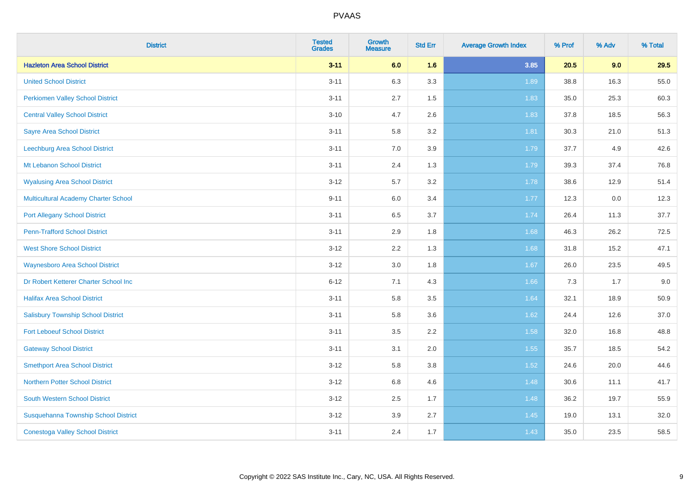| <b>District</b>                             | <b>Tested</b><br><b>Grades</b> | <b>Growth</b><br><b>Measure</b> | <b>Std Err</b> | <b>Average Growth Index</b> | % Prof | % Adv | % Total |
|---------------------------------------------|--------------------------------|---------------------------------|----------------|-----------------------------|--------|-------|---------|
| <b>Hazleton Area School District</b>        | $3 - 11$                       | 6.0                             | 1.6            | 3.85                        | 20.5   | 9.0   | 29.5    |
| <b>United School District</b>               | $3 - 11$                       | 6.3                             | 3.3            | 1.89                        | 38.8   | 16.3  | 55.0    |
| <b>Perkiomen Valley School District</b>     | $3 - 11$                       | 2.7                             | 1.5            | 1.83                        | 35.0   | 25.3  | 60.3    |
| <b>Central Valley School District</b>       | $3 - 10$                       | 4.7                             | 2.6            | 1.83                        | 37.8   | 18.5  | 56.3    |
| <b>Sayre Area School District</b>           | $3 - 11$                       | 5.8                             | 3.2            | 1.81                        | 30.3   | 21.0  | 51.3    |
| Leechburg Area School District              | $3 - 11$                       | 7.0                             | 3.9            | 1.79                        | 37.7   | 4.9   | 42.6    |
| Mt Lebanon School District                  | $3 - 11$                       | 2.4                             | 1.3            | 1.79                        | 39.3   | 37.4  | 76.8    |
| <b>Wyalusing Area School District</b>       | $3 - 12$                       | 5.7                             | 3.2            | 1.78                        | 38.6   | 12.9  | 51.4    |
| <b>Multicultural Academy Charter School</b> | $9 - 11$                       | 6.0                             | 3.4            | 1.77                        | 12.3   | 0.0   | 12.3    |
| <b>Port Allegany School District</b>        | $3 - 11$                       | 6.5                             | 3.7            | 1.74                        | 26.4   | 11.3  | 37.7    |
| <b>Penn-Trafford School District</b>        | $3 - 11$                       | 2.9                             | 1.8            | 1.68                        | 46.3   | 26.2  | 72.5    |
| <b>West Shore School District</b>           | $3 - 12$                       | 2.2                             | 1.3            | 1.68                        | 31.8   | 15.2  | 47.1    |
| <b>Waynesboro Area School District</b>      | $3 - 12$                       | $3.0\,$                         | 1.8            | 1.67                        | 26.0   | 23.5  | 49.5    |
| Dr Robert Ketterer Charter School Inc       | $6 - 12$                       | 7.1                             | 4.3            | 1.66                        | 7.3    | 1.7   | 9.0     |
| <b>Halifax Area School District</b>         | $3 - 11$                       | 5.8                             | 3.5            | 1.64                        | 32.1   | 18.9  | 50.9    |
| <b>Salisbury Township School District</b>   | $3 - 11$                       | 5.8                             | 3.6            | 1.62                        | 24.4   | 12.6  | 37.0    |
| <b>Fort Leboeuf School District</b>         | $3 - 11$                       | 3.5                             | 2.2            | 1.58                        | 32.0   | 16.8  | 48.8    |
| <b>Gateway School District</b>              | $3 - 11$                       | 3.1                             | 2.0            | 1.55                        | 35.7   | 18.5  | 54.2    |
| <b>Smethport Area School District</b>       | $3 - 12$                       | 5.8                             | 3.8            | 1.52                        | 24.6   | 20.0  | 44.6    |
| <b>Northern Potter School District</b>      | $3 - 12$                       | $6.8\,$                         | 4.6            | 1.48                        | 30.6   | 11.1  | 41.7    |
| South Western School District               | $3 - 12$                       | 2.5                             | 1.7            | 1.48                        | 36.2   | 19.7  | 55.9    |
| Susquehanna Township School District        | $3 - 12$                       | 3.9                             | 2.7            | 1.45                        | 19.0   | 13.1  | 32.0    |
| <b>Conestoga Valley School District</b>     | $3 - 11$                       | 2.4                             | 1.7            | 1.43                        | 35.0   | 23.5  | 58.5    |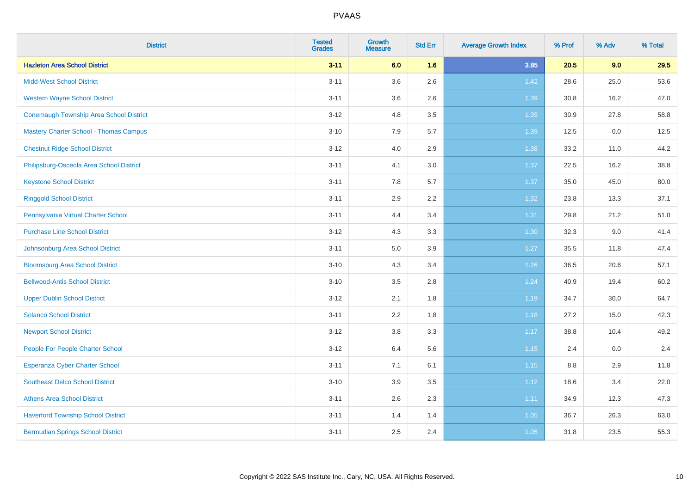| <b>District</b>                                | <b>Tested</b><br><b>Grades</b> | <b>Growth</b><br><b>Measure</b> | <b>Std Err</b> | <b>Average Growth Index</b> | % Prof | % Adv | % Total |
|------------------------------------------------|--------------------------------|---------------------------------|----------------|-----------------------------|--------|-------|---------|
| <b>Hazleton Area School District</b>           | $3 - 11$                       | 6.0                             | 1.6            | 3.85                        | 20.5   | 9.0   | 29.5    |
| <b>Midd-West School District</b>               | $3 - 11$                       | 3.6                             | 2.6            | 1.42                        | 28.6   | 25.0  | 53.6    |
| <b>Western Wayne School District</b>           | $3 - 11$                       | 3.6                             | 2.6            | 1.39                        | 30.8   | 16.2  | 47.0    |
| <b>Conemaugh Township Area School District</b> | $3 - 12$                       | 4.8                             | 3.5            | 1.39                        | 30.9   | 27.8  | 58.8    |
| <b>Mastery Charter School - Thomas Campus</b>  | $3 - 10$                       | 7.9                             | 5.7            | 1.39                        | 12.5   | 0.0   | 12.5    |
| <b>Chestnut Ridge School District</b>          | $3 - 12$                       | 4.0                             | 2.9            | 1.38                        | 33.2   | 11.0  | 44.2    |
| Philipsburg-Osceola Area School District       | $3 - 11$                       | 4.1                             | 3.0            | 1.37                        | 22.5   | 16.2  | 38.8    |
| <b>Keystone School District</b>                | $3 - 11$                       | 7.8                             | 5.7            | 1.37                        | 35.0   | 45.0  | 80.0    |
| <b>Ringgold School District</b>                | $3 - 11$                       | 2.9                             | 2.2            | 1.32                        | 23.8   | 13.3  | 37.1    |
| Pennsylvania Virtual Charter School            | $3 - 11$                       | 4.4                             | 3.4            | 1.31                        | 29.8   | 21.2  | 51.0    |
| <b>Purchase Line School District</b>           | $3 - 12$                       | 4.3                             | 3.3            | 1.30                        | 32.3   | 9.0   | 41.4    |
| Johnsonburg Area School District               | $3 - 11$                       | $5.0\,$                         | 3.9            | 1.27                        | 35.5   | 11.8  | 47.4    |
| <b>Bloomsburg Area School District</b>         | $3 - 10$                       | 4.3                             | 3.4            | $1.26$                      | 36.5   | 20.6  | 57.1    |
| <b>Bellwood-Antis School District</b>          | $3 - 10$                       | 3.5                             | 2.8            | 1.24                        | 40.9   | 19.4  | 60.2    |
| <b>Upper Dublin School District</b>            | $3 - 12$                       | 2.1                             | 1.8            | 1.19                        | 34.7   | 30.0  | 64.7    |
| <b>Solanco School District</b>                 | $3 - 11$                       | 2.2                             | 1.8            | 1.18                        | 27.2   | 15.0  | 42.3    |
| <b>Newport School District</b>                 | $3 - 12$                       | 3.8                             | 3.3            | 1.17                        | 38.8   | 10.4  | 49.2    |
| People For People Charter School               | $3 - 12$                       | 6.4                             | 5.6            | 1.15                        | 2.4    | 0.0   | 2.4     |
| <b>Esperanza Cyber Charter School</b>          | $3 - 11$                       | 7.1                             | 6.1            | 1.15                        | 8.8    | 2.9   | 11.8    |
| <b>Southeast Delco School District</b>         | $3 - 10$                       | 3.9                             | 3.5            | 1.12                        | 18.6   | 3.4   | 22.0    |
| <b>Athens Area School District</b>             | $3 - 11$                       | 2.6                             | 2.3            | 1.11                        | 34.9   | 12.3  | 47.3    |
| <b>Haverford Township School District</b>      | $3 - 11$                       | 1.4                             | 1.4            | 1.05                        | 36.7   | 26.3  | 63.0    |
| <b>Bermudian Springs School District</b>       | $3 - 11$                       | 2.5                             | 2.4            | 1.05                        | 31.8   | 23.5  | 55.3    |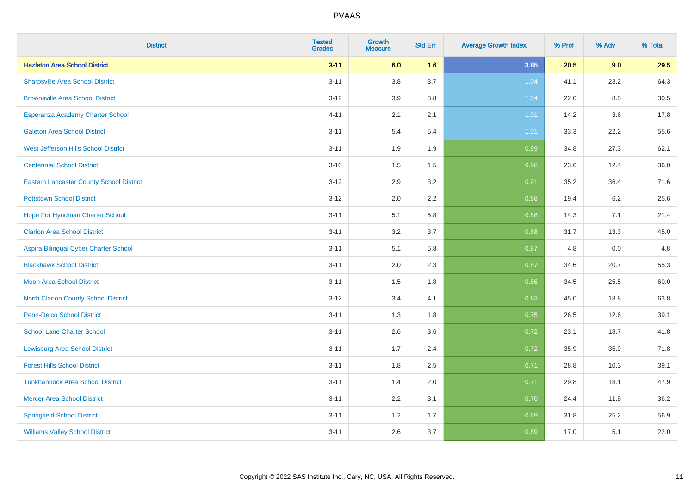| <b>District</b>                                 | <b>Tested</b><br><b>Grades</b> | <b>Growth</b><br><b>Measure</b> | <b>Std Err</b> | <b>Average Growth Index</b> | % Prof | % Adv   | % Total |
|-------------------------------------------------|--------------------------------|---------------------------------|----------------|-----------------------------|--------|---------|---------|
| <b>Hazleton Area School District</b>            | $3 - 11$                       | 6.0                             | 1.6            | 3.85                        | 20.5   | 9.0     | 29.5    |
| <b>Sharpsville Area School District</b>         | $3 - 11$                       | 3.8                             | 3.7            | 1.04                        | 41.1   | 23.2    | 64.3    |
| <b>Brownsville Area School District</b>         | $3 - 12$                       | 3.9                             | 3.8            | 1.04                        | 22.0   | 8.5     | 30.5    |
| Esperanza Academy Charter School                | $4 - 11$                       | 2.1                             | 2.1            | 1.01                        | 14.2   | $3.6\,$ | 17.8    |
| <b>Galeton Area School District</b>             | $3 - 11$                       | 5.4                             | 5.4            | 1.01                        | 33.3   | 22.2    | 55.6    |
| West Jefferson Hills School District            | $3 - 11$                       | 1.9                             | 1.9            | 0.99                        | 34.8   | 27.3    | 62.1    |
| <b>Centennial School District</b>               | $3 - 10$                       | 1.5                             | 1.5            | 0.98                        | 23.6   | 12.4    | 36.0    |
| <b>Eastern Lancaster County School District</b> | $3 - 12$                       | 2.9                             | 3.2            | 0.91                        | 35.2   | 36.4    | 71.6    |
| <b>Pottstown School District</b>                | $3-12$                         | 2.0                             | 2.2            | 0.88                        | 19.4   | 6.2     | 25.6    |
| Hope For Hyndman Charter School                 | $3 - 11$                       | 5.1                             | 5.8            | 0.88                        | 14.3   | 7.1     | 21.4    |
| <b>Clarion Area School District</b>             | $3 - 11$                       | 3.2                             | 3.7            | 0.88                        | 31.7   | 13.3    | 45.0    |
| Aspira Bilingual Cyber Charter School           | $3 - 11$                       | 5.1                             | 5.8            | 0.87                        | 4.8    | 0.0     | 4.8     |
| <b>Blackhawk School District</b>                | $3 - 11$                       | 2.0                             | 2.3            | 0.87                        | 34.6   | 20.7    | 55.3    |
| <b>Moon Area School District</b>                | $3 - 11$                       | 1.5                             | 1.8            | 0.86                        | 34.5   | 25.5    | 60.0    |
| <b>North Clarion County School District</b>     | $3 - 12$                       | 3.4                             | 4.1            | 0.83                        | 45.0   | 18.8    | 63.8    |
| <b>Penn-Delco School District</b>               | $3 - 11$                       | 1.3                             | 1.8            | 0.75                        | 26.5   | 12.6    | 39.1    |
| <b>School Lane Charter School</b>               | $3 - 11$                       | 2.6                             | 3.6            | 0.72                        | 23.1   | 18.7    | 41.8    |
| <b>Lewisburg Area School District</b>           | $3 - 11$                       | 1.7                             | 2.4            | 0.72                        | 35.9   | 35.9    | 71.8    |
| <b>Forest Hills School District</b>             | $3 - 11$                       | 1.8                             | 2.5            | 0.71                        | 28.8   | 10.3    | 39.1    |
| <b>Tunkhannock Area School District</b>         | $3 - 11$                       | 1.4                             | 2.0            | 0.71                        | 29.8   | 18.1    | 47.9    |
| <b>Mercer Area School District</b>              | $3 - 11$                       | 2.2                             | 3.1            | 0.70                        | 24.4   | 11.8    | 36.2    |
| <b>Springfield School District</b>              | $3 - 11$                       | 1.2                             | 1.7            | 0.69                        | 31.8   | 25.2    | 56.9    |
| <b>Williams Valley School District</b>          | $3 - 11$                       | 2.6                             | 3.7            | 0.69                        | 17.0   | 5.1     | 22.0    |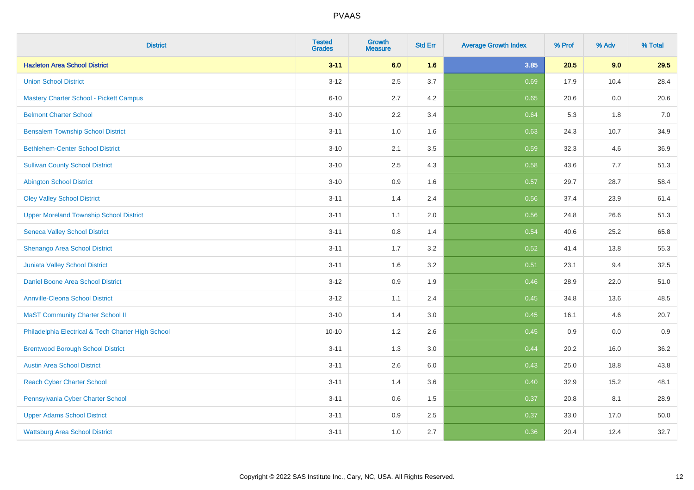| <b>District</b>                                    | <b>Tested</b><br><b>Grades</b> | <b>Growth</b><br><b>Measure</b> | <b>Std Err</b> | <b>Average Growth Index</b> | % Prof | % Adv | % Total |
|----------------------------------------------------|--------------------------------|---------------------------------|----------------|-----------------------------|--------|-------|---------|
| <b>Hazleton Area School District</b>               | $3 - 11$                       | 6.0                             | 1.6            | 3.85                        | 20.5   | 9.0   | 29.5    |
| <b>Union School District</b>                       | $3 - 12$                       | 2.5                             | 3.7            | 0.69                        | 17.9   | 10.4  | 28.4    |
| <b>Mastery Charter School - Pickett Campus</b>     | $6 - 10$                       | 2.7                             | 4.2            | 0.65                        | 20.6   | 0.0   | 20.6    |
| <b>Belmont Charter School</b>                      | $3 - 10$                       | 2.2                             | 3.4            | 0.64                        | 5.3    | 1.8   | $7.0$   |
| <b>Bensalem Township School District</b>           | $3 - 11$                       | 1.0                             | 1.6            | 0.63                        | 24.3   | 10.7  | 34.9    |
| <b>Bethlehem-Center School District</b>            | $3 - 10$                       | 2.1                             | 3.5            | 0.59                        | 32.3   | 4.6   | 36.9    |
| <b>Sullivan County School District</b>             | $3 - 10$                       | 2.5                             | 4.3            | 0.58                        | 43.6   | 7.7   | 51.3    |
| <b>Abington School District</b>                    | $3 - 10$                       | 0.9                             | 1.6            | 0.57                        | 29.7   | 28.7  | 58.4    |
| <b>Oley Valley School District</b>                 | $3 - 11$                       | 1.4                             | 2.4            | 0.56                        | 37.4   | 23.9  | 61.4    |
| <b>Upper Moreland Township School District</b>     | $3 - 11$                       | 1.1                             | 2.0            | 0.56                        | 24.8   | 26.6  | 51.3    |
| <b>Seneca Valley School District</b>               | $3 - 11$                       | 0.8                             | 1.4            | 0.54                        | 40.6   | 25.2  | 65.8    |
| Shenango Area School District                      | $3 - 11$                       | 1.7                             | 3.2            | 0.52                        | 41.4   | 13.8  | 55.3    |
| Juniata Valley School District                     | $3 - 11$                       | 1.6                             | 3.2            | 0.51                        | 23.1   | 9.4   | 32.5    |
| Daniel Boone Area School District                  | $3 - 12$                       | 0.9                             | 1.9            | 0.46                        | 28.9   | 22.0  | 51.0    |
| <b>Annville-Cleona School District</b>             | $3 - 12$                       | 1.1                             | 2.4            | 0.45                        | 34.8   | 13.6  | 48.5    |
| <b>MaST Community Charter School II</b>            | $3 - 10$                       | 1.4                             | 3.0            | 0.45                        | 16.1   | 4.6   | 20.7    |
| Philadelphia Electrical & Tech Charter High School | $10 - 10$                      | 1.2                             | 2.6            | 0.45                        | 0.9    | 0.0   | 0.9     |
| <b>Brentwood Borough School District</b>           | $3 - 11$                       | 1.3                             | 3.0            | 0.44                        | 20.2   | 16.0  | 36.2    |
| <b>Austin Area School District</b>                 | $3 - 11$                       | 2.6                             | 6.0            | 0.43                        | 25.0   | 18.8  | 43.8    |
| <b>Reach Cyber Charter School</b>                  | $3 - 11$                       | 1.4                             | 3.6            | 0.40                        | 32.9   | 15.2  | 48.1    |
| Pennsylvania Cyber Charter School                  | $3 - 11$                       | 0.6                             | 1.5            | 0.37                        | 20.8   | 8.1   | 28.9    |
| <b>Upper Adams School District</b>                 | $3 - 11$                       | 0.9                             | 2.5            | 0.37                        | 33.0   | 17.0  | 50.0    |
| <b>Wattsburg Area School District</b>              | $3 - 11$                       | 1.0                             | 2.7            | 0.36                        | 20.4   | 12.4  | 32.7    |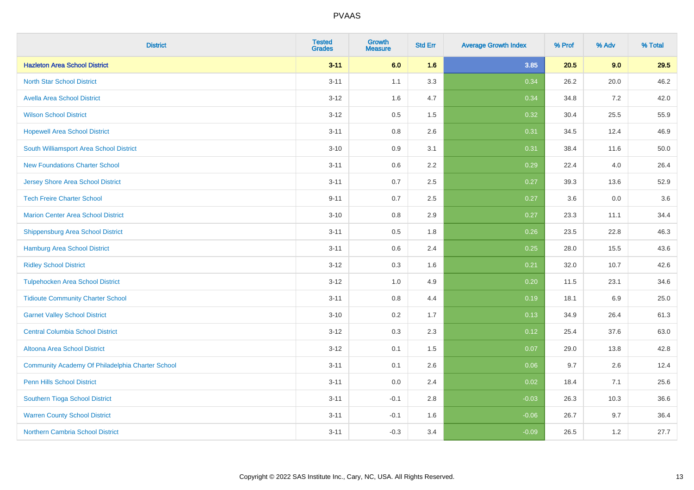| <b>District</b>                                  | <b>Tested</b><br><b>Grades</b> | <b>Growth</b><br><b>Measure</b> | <b>Std Err</b> | <b>Average Growth Index</b> | % Prof | % Adv | % Total |
|--------------------------------------------------|--------------------------------|---------------------------------|----------------|-----------------------------|--------|-------|---------|
| <b>Hazleton Area School District</b>             | $3 - 11$                       | 6.0                             | 1.6            | 3.85                        | 20.5   | 9.0   | 29.5    |
| <b>North Star School District</b>                | $3 - 11$                       | 1.1                             | 3.3            | 0.34                        | 26.2   | 20.0  | 46.2    |
| <b>Avella Area School District</b>               | $3 - 12$                       | 1.6                             | 4.7            | 0.34                        | 34.8   | 7.2   | 42.0    |
| <b>Wilson School District</b>                    | $3 - 12$                       | 0.5                             | 1.5            | 0.32                        | 30.4   | 25.5  | 55.9    |
| <b>Hopewell Area School District</b>             | $3 - 11$                       | 0.8                             | 2.6            | 0.31                        | 34.5   | 12.4  | 46.9    |
| South Williamsport Area School District          | $3 - 10$                       | 0.9                             | 3.1            | 0.31                        | 38.4   | 11.6  | 50.0    |
| <b>New Foundations Charter School</b>            | $3 - 11$                       | 0.6                             | 2.2            | 0.29                        | 22.4   | 4.0   | 26.4    |
| <b>Jersey Shore Area School District</b>         | $3 - 11$                       | 0.7                             | 2.5            | 0.27                        | 39.3   | 13.6  | 52.9    |
| <b>Tech Freire Charter School</b>                | $9 - 11$                       | 0.7                             | 2.5            | 0.27                        | 3.6    | 0.0   | 3.6     |
| <b>Marion Center Area School District</b>        | $3 - 10$                       | 0.8                             | 2.9            | 0.27                        | 23.3   | 11.1  | 34.4    |
| <b>Shippensburg Area School District</b>         | $3 - 11$                       | 0.5                             | 1.8            | 0.26                        | 23.5   | 22.8  | 46.3    |
| <b>Hamburg Area School District</b>              | $3 - 11$                       | 0.6                             | 2.4            | 0.25                        | 28.0   | 15.5  | 43.6    |
| <b>Ridley School District</b>                    | $3 - 12$                       | 0.3                             | 1.6            | 0.21                        | 32.0   | 10.7  | 42.6    |
| <b>Tulpehocken Area School District</b>          | $3 - 12$                       | 1.0                             | 4.9            | 0.20                        | 11.5   | 23.1  | 34.6    |
| <b>Tidioute Community Charter School</b>         | $3 - 11$                       | 0.8                             | 4.4            | 0.19                        | 18.1   | 6.9   | 25.0    |
| <b>Garnet Valley School District</b>             | $3 - 10$                       | 0.2                             | 1.7            | 0.13                        | 34.9   | 26.4  | 61.3    |
| <b>Central Columbia School District</b>          | $3 - 12$                       | 0.3                             | 2.3            | 0.12                        | 25.4   | 37.6  | 63.0    |
| Altoona Area School District                     | $3 - 12$                       | 0.1                             | 1.5            | 0.07                        | 29.0   | 13.8  | 42.8    |
| Community Academy Of Philadelphia Charter School | $3 - 11$                       | 0.1                             | 2.6            | 0.06                        | 9.7    | 2.6   | 12.4    |
| Penn Hills School District                       | $3 - 11$                       | 0.0                             | 2.4            | 0.02                        | 18.4   | 7.1   | 25.6    |
| Southern Tioga School District                   | $3 - 11$                       | $-0.1$                          | 2.8            | $-0.03$                     | 26.3   | 10.3  | 36.6    |
| <b>Warren County School District</b>             | $3 - 11$                       | $-0.1$                          | 1.6            | $-0.06$                     | 26.7   | 9.7   | 36.4    |
| <b>Northern Cambria School District</b>          | $3 - 11$                       | $-0.3$                          | 3.4            | $-0.09$                     | 26.5   | 1.2   | 27.7    |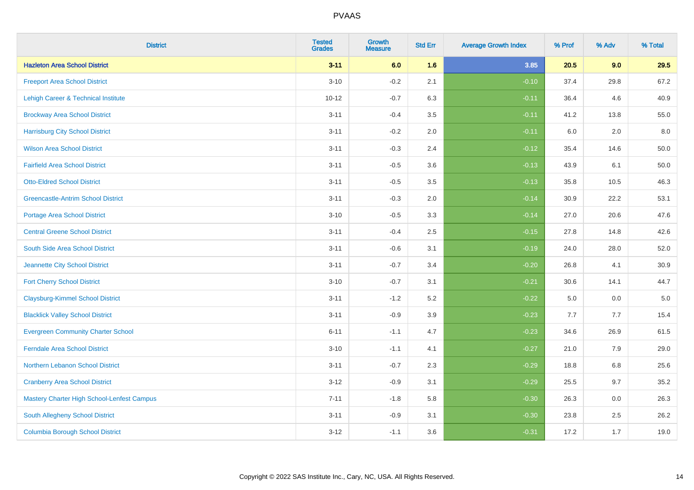| <b>District</b>                                   | <b>Tested</b><br><b>Grades</b> | Growth<br><b>Measure</b> | <b>Std Err</b> | <b>Average Growth Index</b> | % Prof | % Adv   | % Total  |
|---------------------------------------------------|--------------------------------|--------------------------|----------------|-----------------------------|--------|---------|----------|
| <b>Hazleton Area School District</b>              | $3 - 11$                       | 6.0                      | 1.6            | 3.85                        | 20.5   | 9.0     | 29.5     |
| <b>Freeport Area School District</b>              | $3 - 10$                       | $-0.2$                   | 2.1            | $-0.10$                     | 37.4   | 29.8    | 67.2     |
| Lehigh Career & Technical Institute               | $10 - 12$                      | $-0.7$                   | 6.3            | $-0.11$                     | 36.4   | 4.6     | 40.9     |
| <b>Brockway Area School District</b>              | $3 - 11$                       | $-0.4$                   | 3.5            | $-0.11$                     | 41.2   | 13.8    | 55.0     |
| <b>Harrisburg City School District</b>            | $3 - 11$                       | $-0.2$                   | 2.0            | $-0.11$                     | 6.0    | 2.0     | 8.0      |
| <b>Wilson Area School District</b>                | $3 - 11$                       | $-0.3$                   | 2.4            | $-0.12$                     | 35.4   | 14.6    | 50.0     |
| <b>Fairfield Area School District</b>             | $3 - 11$                       | $-0.5$                   | 3.6            | $-0.13$                     | 43.9   | 6.1     | 50.0     |
| <b>Otto-Eldred School District</b>                | $3 - 11$                       | $-0.5$                   | 3.5            | $-0.13$                     | 35.8   | 10.5    | 46.3     |
| <b>Greencastle-Antrim School District</b>         | $3 - 11$                       | $-0.3$                   | 2.0            | $-0.14$                     | 30.9   | 22.2    | 53.1     |
| <b>Portage Area School District</b>               | $3 - 10$                       | $-0.5$                   | 3.3            | $-0.14$                     | 27.0   | 20.6    | 47.6     |
| <b>Central Greene School District</b>             | $3 - 11$                       | $-0.4$                   | 2.5            | $-0.15$                     | 27.8   | 14.8    | 42.6     |
| South Side Area School District                   | $3 - 11$                       | $-0.6$                   | 3.1            | $-0.19$                     | 24.0   | 28.0    | 52.0     |
| Jeannette City School District                    | $3 - 11$                       | $-0.7$                   | 3.4            | $-0.20$                     | 26.8   | 4.1     | $30.9\,$ |
| <b>Fort Cherry School District</b>                | $3 - 10$                       | $-0.7$                   | 3.1            | $-0.21$                     | 30.6   | 14.1    | 44.7     |
| <b>Claysburg-Kimmel School District</b>           | $3 - 11$                       | $-1.2$                   | 5.2            | $-0.22$                     | 5.0    | 0.0     | $5.0\,$  |
| <b>Blacklick Valley School District</b>           | $3 - 11$                       | $-0.9$                   | 3.9            | $-0.23$                     | 7.7    | 7.7     | 15.4     |
| <b>Evergreen Community Charter School</b>         | $6 - 11$                       | $-1.1$                   | 4.7            | $-0.23$                     | 34.6   | 26.9    | 61.5     |
| <b>Ferndale Area School District</b>              | $3 - 10$                       | $-1.1$                   | 4.1            | $-0.27$                     | 21.0   | 7.9     | 29.0     |
| Northern Lebanon School District                  | $3 - 11$                       | $-0.7$                   | 2.3            | $-0.29$                     | 18.8   | $6.8\,$ | 25.6     |
| <b>Cranberry Area School District</b>             | $3 - 12$                       | $-0.9$                   | 3.1            | $-0.29$                     | 25.5   | 9.7     | 35.2     |
| <b>Mastery Charter High School-Lenfest Campus</b> | $7 - 11$                       | $-1.8$                   | 5.8            | $-0.30$                     | 26.3   | 0.0     | 26.3     |
| South Allegheny School District                   | $3 - 11$                       | $-0.9$                   | 3.1            | $-0.30$                     | 23.8   | 2.5     | 26.2     |
| <b>Columbia Borough School District</b>           | $3 - 12$                       | $-1.1$                   | 3.6            | $-0.31$                     | 17.2   | 1.7     | 19.0     |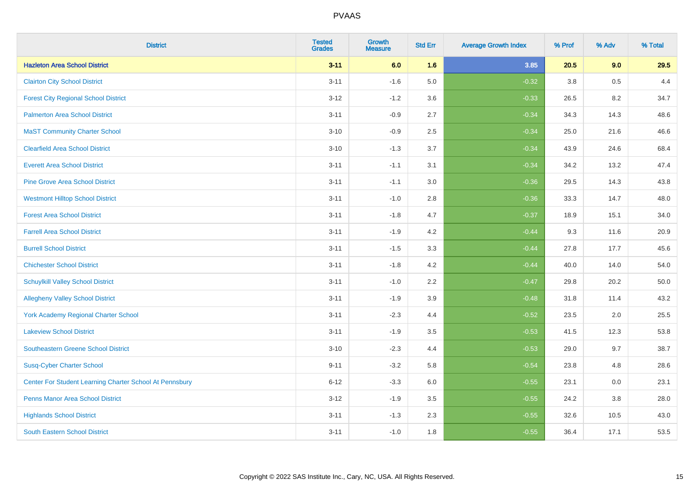| <b>District</b>                                         | <b>Tested</b><br><b>Grades</b> | Growth<br><b>Measure</b> | <b>Std Err</b> | <b>Average Growth Index</b> | % Prof | % Adv | % Total |
|---------------------------------------------------------|--------------------------------|--------------------------|----------------|-----------------------------|--------|-------|---------|
| <b>Hazleton Area School District</b>                    | $3 - 11$                       | 6.0                      | 1.6            | 3.85                        | 20.5   | 9.0   | 29.5    |
| <b>Clairton City School District</b>                    | $3 - 11$                       | $-1.6$                   | 5.0            | $-0.32$                     | 3.8    | 0.5   | 4.4     |
| <b>Forest City Regional School District</b>             | $3 - 12$                       | $-1.2$                   | 3.6            | $-0.33$                     | 26.5   | 8.2   | 34.7    |
| <b>Palmerton Area School District</b>                   | $3 - 11$                       | $-0.9$                   | 2.7            | $-0.34$                     | 34.3   | 14.3  | 48.6    |
| <b>MaST Community Charter School</b>                    | $3 - 10$                       | $-0.9$                   | 2.5            | $-0.34$                     | 25.0   | 21.6  | 46.6    |
| <b>Clearfield Area School District</b>                  | $3 - 10$                       | $-1.3$                   | 3.7            | $-0.34$                     | 43.9   | 24.6  | 68.4    |
| <b>Everett Area School District</b>                     | $3 - 11$                       | $-1.1$                   | 3.1            | $-0.34$                     | 34.2   | 13.2  | 47.4    |
| <b>Pine Grove Area School District</b>                  | $3 - 11$                       | $-1.1$                   | 3.0            | $-0.36$                     | 29.5   | 14.3  | 43.8    |
| <b>Westmont Hilltop School District</b>                 | $3 - 11$                       | $-1.0$                   | 2.8            | $-0.36$                     | 33.3   | 14.7  | 48.0    |
| <b>Forest Area School District</b>                      | $3 - 11$                       | $-1.8$                   | 4.7            | $-0.37$                     | 18.9   | 15.1  | 34.0    |
| <b>Farrell Area School District</b>                     | $3 - 11$                       | $-1.9$                   | 4.2            | $-0.44$                     | 9.3    | 11.6  | 20.9    |
| <b>Burrell School District</b>                          | $3 - 11$                       | $-1.5$                   | 3.3            | $-0.44$                     | 27.8   | 17.7  | 45.6    |
| <b>Chichester School District</b>                       | $3 - 11$                       | $-1.8$                   | 4.2            | $-0.44$                     | 40.0   | 14.0  | 54.0    |
| <b>Schuylkill Valley School District</b>                | $3 - 11$                       | $-1.0$                   | 2.2            | $-0.47$                     | 29.8   | 20.2  | 50.0    |
| <b>Allegheny Valley School District</b>                 | $3 - 11$                       | $-1.9$                   | 3.9            | $-0.48$                     | 31.8   | 11.4  | 43.2    |
| <b>York Academy Regional Charter School</b>             | $3 - 11$                       | $-2.3$                   | 4.4            | $-0.52$                     | 23.5   | 2.0   | 25.5    |
| <b>Lakeview School District</b>                         | $3 - 11$                       | $-1.9$                   | 3.5            | $-0.53$                     | 41.5   | 12.3  | 53.8    |
| Southeastern Greene School District                     | $3 - 10$                       | $-2.3$                   | 4.4            | $-0.53$                     | 29.0   | 9.7   | 38.7    |
| <b>Susq-Cyber Charter School</b>                        | $9 - 11$                       | $-3.2$                   | 5.8            | $-0.54$                     | 23.8   | 4.8   | 28.6    |
| Center For Student Learning Charter School At Pennsbury | $6 - 12$                       | $-3.3$                   | 6.0            | $-0.55$                     | 23.1   | 0.0   | 23.1    |
| <b>Penns Manor Area School District</b>                 | $3 - 12$                       | $-1.9$                   | 3.5            | $-0.55$                     | 24.2   | 3.8   | 28.0    |
| <b>Highlands School District</b>                        | $3 - 11$                       | $-1.3$                   | 2.3            | $-0.55$                     | 32.6   | 10.5  | 43.0    |
| <b>South Eastern School District</b>                    | $3 - 11$                       | $-1.0$                   | 1.8            | $-0.55$                     | 36.4   | 17.1  | 53.5    |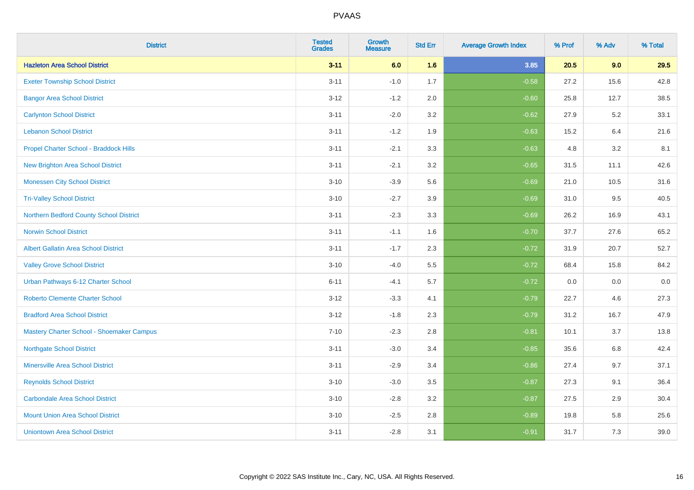| <b>District</b>                             | <b>Tested</b><br><b>Grades</b> | <b>Growth</b><br><b>Measure</b> | <b>Std Err</b> | <b>Average Growth Index</b> | % Prof | % Adv | % Total |
|---------------------------------------------|--------------------------------|---------------------------------|----------------|-----------------------------|--------|-------|---------|
| <b>Hazleton Area School District</b>        | $3 - 11$                       | 6.0                             | 1.6            | 3.85                        | 20.5   | 9.0   | 29.5    |
| <b>Exeter Township School District</b>      | $3 - 11$                       | $-1.0$                          | 1.7            | $-0.58$                     | 27.2   | 15.6  | 42.8    |
| <b>Bangor Area School District</b>          | $3 - 12$                       | $-1.2$                          | 2.0            | $-0.60$                     | 25.8   | 12.7  | 38.5    |
| <b>Carlynton School District</b>            | $3 - 11$                       | $-2.0$                          | 3.2            | $-0.62$                     | 27.9   | 5.2   | 33.1    |
| <b>Lebanon School District</b>              | $3 - 11$                       | $-1.2$                          | 1.9            | $-0.63$                     | 15.2   | 6.4   | 21.6    |
| Propel Charter School - Braddock Hills      | $3 - 11$                       | $-2.1$                          | 3.3            | $-0.63$                     | 4.8    | 3.2   | 8.1     |
| <b>New Brighton Area School District</b>    | $3 - 11$                       | $-2.1$                          | 3.2            | $-0.65$                     | 31.5   | 11.1  | 42.6    |
| <b>Monessen City School District</b>        | $3 - 10$                       | $-3.9$                          | 5.6            | $-0.69$                     | 21.0   | 10.5  | 31.6    |
| <b>Tri-Valley School District</b>           | $3 - 10$                       | $-2.7$                          | 3.9            | $-0.69$                     | 31.0   | 9.5   | 40.5    |
| Northern Bedford County School District     | $3 - 11$                       | $-2.3$                          | 3.3            | $-0.69$                     | 26.2   | 16.9  | 43.1    |
| <b>Norwin School District</b>               | $3 - 11$                       | $-1.1$                          | 1.6            | $-0.70$                     | 37.7   | 27.6  | 65.2    |
| <b>Albert Gallatin Area School District</b> | $3 - 11$                       | $-1.7$                          | 2.3            | $-0.72$                     | 31.9   | 20.7  | 52.7    |
| <b>Valley Grove School District</b>         | $3 - 10$                       | $-4.0$                          | 5.5            | $-0.72$                     | 68.4   | 15.8  | 84.2    |
| Urban Pathways 6-12 Charter School          | $6 - 11$                       | $-4.1$                          | 5.7            | $-0.72$                     | 0.0    | 0.0   | $0.0\,$ |
| <b>Roberto Clemente Charter School</b>      | $3 - 12$                       | $-3.3$                          | 4.1            | $-0.79$                     | 22.7   | 4.6   | 27.3    |
| <b>Bradford Area School District</b>        | $3 - 12$                       | $-1.8$                          | 2.3            | $-0.79$                     | 31.2   | 16.7  | 47.9    |
| Mastery Charter School - Shoemaker Campus   | $7 - 10$                       | $-2.3$                          | 2.8            | $-0.81$                     | 10.1   | 3.7   | 13.8    |
| <b>Northgate School District</b>            | $3 - 11$                       | $-3.0$                          | 3.4            | $-0.85$                     | 35.6   | 6.8   | 42.4    |
| <b>Minersville Area School District</b>     | $3 - 11$                       | $-2.9$                          | 3.4            | $-0.86$                     | 27.4   | 9.7   | 37.1    |
| <b>Reynolds School District</b>             | $3 - 10$                       | $-3.0$                          | 3.5            | $-0.87$                     | 27.3   | 9.1   | 36.4    |
| <b>Carbondale Area School District</b>      | $3 - 10$                       | $-2.8$                          | 3.2            | $-0.87$                     | 27.5   | 2.9   | 30.4    |
| <b>Mount Union Area School District</b>     | $3 - 10$                       | $-2.5$                          | 2.8            | $-0.89$                     | 19.8   | 5.8   | 25.6    |
| <b>Uniontown Area School District</b>       | $3 - 11$                       | $-2.8$                          | 3.1            | $-0.91$                     | 31.7   | 7.3   | 39.0    |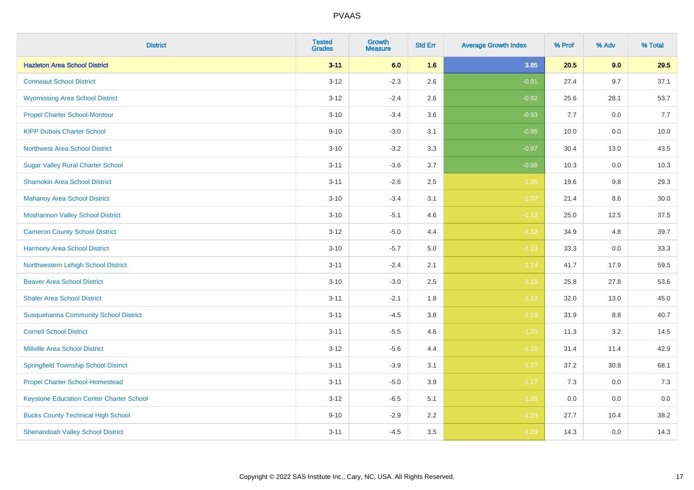| <b>District</b>                                 | <b>Tested</b><br><b>Grades</b> | <b>Growth</b><br><b>Measure</b> | <b>Std Err</b> | <b>Average Growth Index</b> | % Prof | % Adv   | % Total |
|-------------------------------------------------|--------------------------------|---------------------------------|----------------|-----------------------------|--------|---------|---------|
| <b>Hazleton Area School District</b>            | $3 - 11$                       | 6.0                             | 1.6            | 3.85                        | 20.5   | 9.0     | 29.5    |
| <b>Conneaut School District</b>                 | $3 - 12$                       | $-2.3$                          | 2.6            | $-0.91$                     | 27.4   | 9.7     | 37.1    |
| <b>Wyomissing Area School District</b>          | $3 - 12$                       | $-2.4$                          | 2.6            | $-0.92$                     | 25.6   | 28.1    | 53.7    |
| <b>Propel Charter School-Montour</b>            | $3 - 10$                       | $-3.4$                          | 3.6            | $-0.93$                     | 7.7    | $0.0\,$ | 7.7     |
| <b>KIPP Dubois Charter School</b>               | $9 - 10$                       | $-3.0$                          | 3.1            | $-0.95$                     | 10.0   | 0.0     | 10.0    |
| <b>Northwest Area School District</b>           | $3 - 10$                       | $-3.2$                          | 3.3            | $-0.97$                     | 30.4   | 13.0    | 43.5    |
| <b>Sugar Valley Rural Charter School</b>        | $3 - 11$                       | $-3.6$                          | 3.7            | $-0.98$                     | 10.3   | 0.0     | 10.3    |
| <b>Shamokin Area School District</b>            | $3 - 11$                       | $-2.6$                          | 2.5            | $-1.06$                     | 19.6   | 9.8     | 29.3    |
| <b>Mahanoy Area School District</b>             | $3 - 10$                       | $-3.4$                          | 3.1            | $-1.07$                     | 21.4   | 8.6     | 30.0    |
| <b>Moshannon Valley School District</b>         | $3 - 10$                       | $-5.1$                          | 4.6            | $-1.12$                     | 25.0   | 12.5    | 37.5    |
| <b>Cameron County School District</b>           | $3 - 12$                       | $-5.0$                          | 4.4            | $-1.12$                     | 34.9   | 4.8     | 39.7    |
| <b>Harmony Area School District</b>             | $3 - 10$                       | $-5.7$                          | 5.0            | $-1.13$                     | 33.3   | 0.0     | 33.3    |
| Northwestern Lehigh School District             | $3 - 11$                       | $-2.4$                          | 2.1            | $-1.14$                     | 41.7   | 17.9    | 59.5    |
| <b>Beaver Area School District</b>              | $3 - 10$                       | $-3.0$                          | 2.5            | $-1.16$                     | 25.8   | 27.8    | 53.6    |
| <b>Shaler Area School District</b>              | $3 - 11$                       | $-2.1$                          | 1.8            | $-1.18$                     | 32.0   | 13.0    | 45.0    |
| <b>Susquehanna Community School District</b>    | $3 - 11$                       | $-4.5$                          | 3.8            | $-1.19$                     | 31.9   | $8.8\,$ | 40.7    |
| <b>Cornell School District</b>                  | $3 - 11$                       | $-5.5$                          | 4.6            | $-1.20$                     | 11.3   | 3.2     | 14.5    |
| <b>Millville Area School District</b>           | $3 - 12$                       | $-5.6$                          | 4.4            | $-1.26$                     | 31.4   | 11.4    | 42.9    |
| <b>Springfield Township School District</b>     | $3 - 11$                       | $-3.9$                          | 3.1            | $-1.27$                     | 37.2   | 30.8    | 68.1    |
| <b>Propel Charter School-Homestead</b>          | $3 - 11$                       | $-5.0$                          | 3.9            | $-1.27$                     | 7.3    | 0.0     | 7.3     |
| <b>Keystone Education Center Charter School</b> | $3 - 12$                       | $-6.5$                          | 5.1            | $-1.28$                     | 0.0    | 0.0     | $0.0\,$ |
| <b>Bucks County Technical High School</b>       | $9 - 10$                       | $-2.9$                          | 2.2            | $-1.29$                     | 27.7   | 10.4    | 38.2    |
| <b>Shenandoah Valley School District</b>        | $3 - 11$                       | $-4.5$                          | 3.5            | $-1.29$                     | 14.3   | 0.0     | 14.3    |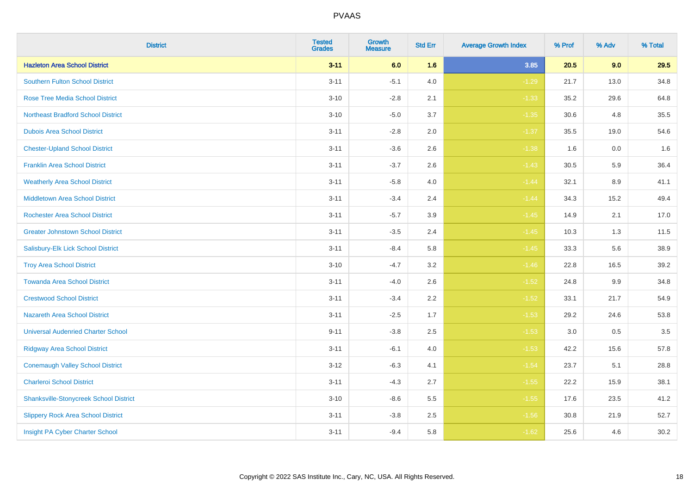| <b>District</b>                               | <b>Tested</b><br><b>Grades</b> | <b>Growth</b><br><b>Measure</b> | <b>Std Err</b> | <b>Average Growth Index</b> | % Prof | % Adv | % Total |
|-----------------------------------------------|--------------------------------|---------------------------------|----------------|-----------------------------|--------|-------|---------|
| <b>Hazleton Area School District</b>          | $3 - 11$                       | 6.0                             | 1.6            | 3.85                        | 20.5   | 9.0   | 29.5    |
| Southern Fulton School District               | $3 - 11$                       | $-5.1$                          | 4.0            | $-1.29$                     | 21.7   | 13.0  | 34.8    |
| <b>Rose Tree Media School District</b>        | $3 - 10$                       | $-2.8$                          | 2.1            | $-1.33$                     | 35.2   | 29.6  | 64.8    |
| <b>Northeast Bradford School District</b>     | $3 - 10$                       | $-5.0$                          | 3.7            | $-1.35$                     | 30.6   | 4.8   | 35.5    |
| <b>Dubois Area School District</b>            | $3 - 11$                       | $-2.8$                          | 2.0            | $-1.37$                     | 35.5   | 19.0  | 54.6    |
| <b>Chester-Upland School District</b>         | $3 - 11$                       | $-3.6$                          | 2.6            | $-1.38$                     | 1.6    | 0.0   | 1.6     |
| <b>Franklin Area School District</b>          | $3 - 11$                       | $-3.7$                          | 2.6            | $-1.43$                     | 30.5   | 5.9   | 36.4    |
| <b>Weatherly Area School District</b>         | $3 - 11$                       | $-5.8$                          | 4.0            | $-1.44$                     | 32.1   | 8.9   | 41.1    |
| <b>Middletown Area School District</b>        | $3 - 11$                       | $-3.4$                          | 2.4            | $-1.44$                     | 34.3   | 15.2  | 49.4    |
| <b>Rochester Area School District</b>         | $3 - 11$                       | $-5.7$                          | 3.9            | $-1.45$                     | 14.9   | 2.1   | 17.0    |
| <b>Greater Johnstown School District</b>      | $3 - 11$                       | $-3.5$                          | 2.4            | $-1.45$                     | 10.3   | 1.3   | 11.5    |
| Salisbury-Elk Lick School District            | $3 - 11$                       | $-8.4$                          | 5.8            | $-1.45$                     | 33.3   | 5.6   | 38.9    |
| <b>Troy Area School District</b>              | $3 - 10$                       | $-4.7$                          | 3.2            | $-1.46$                     | 22.8   | 16.5  | 39.2    |
| <b>Towanda Area School District</b>           | $3 - 11$                       | $-4.0$                          | 2.6            | $-1.52$                     | 24.8   | 9.9   | 34.8    |
| <b>Crestwood School District</b>              | $3 - 11$                       | $-3.4$                          | 2.2            | $-1.52$                     | 33.1   | 21.7  | 54.9    |
| <b>Nazareth Area School District</b>          | $3 - 11$                       | $-2.5$                          | 1.7            | $-1.53$                     | 29.2   | 24.6  | 53.8    |
| <b>Universal Audenried Charter School</b>     | $9 - 11$                       | $-3.8$                          | 2.5            | $-1.53$                     | 3.0    | 0.5   | 3.5     |
| <b>Ridgway Area School District</b>           | $3 - 11$                       | $-6.1$                          | 4.0            | $-1.53$                     | 42.2   | 15.6  | 57.8    |
| <b>Conemaugh Valley School District</b>       | $3 - 12$                       | $-6.3$                          | 4.1            | $-1.54$                     | 23.7   | 5.1   | 28.8    |
| <b>Charleroi School District</b>              | $3 - 11$                       | $-4.3$                          | 2.7            | $-1.55$                     | 22.2   | 15.9  | 38.1    |
| <b>Shanksville-Stonycreek School District</b> | $3 - 10$                       | $-8.6$                          | 5.5            | $-1.55$                     | 17.6   | 23.5  | 41.2    |
| <b>Slippery Rock Area School District</b>     | $3 - 11$                       | $-3.8$                          | 2.5            | $-1.56$                     | 30.8   | 21.9  | 52.7    |
| Insight PA Cyber Charter School               | $3 - 11$                       | $-9.4$                          | 5.8            | $-1.62$                     | 25.6   | 4.6   | 30.2    |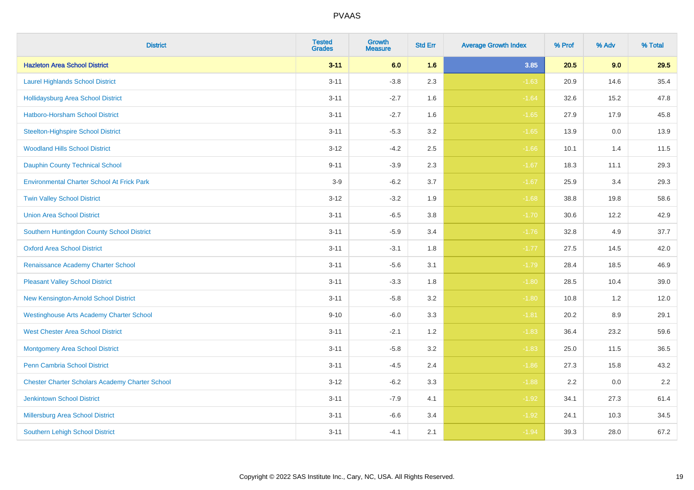| <b>District</b>                                        | <b>Tested</b><br><b>Grades</b> | <b>Growth</b><br><b>Measure</b> | <b>Std Err</b> | <b>Average Growth Index</b> | % Prof | % Adv   | % Total |
|--------------------------------------------------------|--------------------------------|---------------------------------|----------------|-----------------------------|--------|---------|---------|
| <b>Hazleton Area School District</b>                   | $3 - 11$                       | 6.0                             | 1.6            | 3.85                        | 20.5   | 9.0     | 29.5    |
| <b>Laurel Highlands School District</b>                | $3 - 11$                       | $-3.8$                          | 2.3            | $-1.63$                     | 20.9   | 14.6    | 35.4    |
| <b>Hollidaysburg Area School District</b>              | $3 - 11$                       | $-2.7$                          | 1.6            | $-1.64$                     | 32.6   | 15.2    | 47.8    |
| <b>Hatboro-Horsham School District</b>                 | $3 - 11$                       | $-2.7$                          | 1.6            | $-1.65$                     | 27.9   | 17.9    | 45.8    |
| <b>Steelton-Highspire School District</b>              | $3 - 11$                       | $-5.3$                          | 3.2            | $-1.65$                     | 13.9   | 0.0     | 13.9    |
| <b>Woodland Hills School District</b>                  | $3 - 12$                       | $-4.2$                          | 2.5            | $-1.66$                     | 10.1   | 1.4     | 11.5    |
| <b>Dauphin County Technical School</b>                 | $9 - 11$                       | $-3.9$                          | 2.3            | $-1.67$                     | 18.3   | 11.1    | 29.3    |
| <b>Environmental Charter School At Frick Park</b>      | $3-9$                          | $-6.2$                          | 3.7            | $-1.67$                     | 25.9   | 3.4     | 29.3    |
| <b>Twin Valley School District</b>                     | $3 - 12$                       | $-3.2$                          | 1.9            | $-1.68$                     | 38.8   | 19.8    | 58.6    |
| <b>Union Area School District</b>                      | $3 - 11$                       | $-6.5$                          | $3.8\,$        | $-1.70$                     | 30.6   | 12.2    | 42.9    |
| Southern Huntingdon County School District             | $3 - 11$                       | $-5.9$                          | 3.4            | $-1.76$                     | 32.8   | 4.9     | 37.7    |
| <b>Oxford Area School District</b>                     | $3 - 11$                       | $-3.1$                          | 1.8            | $-1.77$                     | 27.5   | 14.5    | 42.0    |
| Renaissance Academy Charter School                     | $3 - 11$                       | $-5.6$                          | 3.1            | $-1.79$                     | 28.4   | 18.5    | 46.9    |
| <b>Pleasant Valley School District</b>                 | $3 - 11$                       | $-3.3$                          | 1.8            | $-1.80$                     | 28.5   | 10.4    | 39.0    |
| New Kensington-Arnold School District                  | $3 - 11$                       | $-5.8$                          | 3.2            | $-1.80$                     | 10.8   | 1.2     | 12.0    |
| <b>Westinghouse Arts Academy Charter School</b>        | $9 - 10$                       | $-6.0$                          | 3.3            | $-1.81$                     | 20.2   | $8.9\,$ | 29.1    |
| <b>West Chester Area School District</b>               | $3 - 11$                       | $-2.1$                          | 1.2            | $-1.83$                     | 36.4   | 23.2    | 59.6    |
| <b>Montgomery Area School District</b>                 | $3 - 11$                       | $-5.8$                          | 3.2            | $-1.83$                     | 25.0   | 11.5    | 36.5    |
| <b>Penn Cambria School District</b>                    | $3 - 11$                       | $-4.5$                          | 2.4            | $-1.86$                     | 27.3   | 15.8    | 43.2    |
| <b>Chester Charter Scholars Academy Charter School</b> | $3 - 12$                       | $-6.2$                          | 3.3            | $-1.88$                     | 2.2    | 0.0     | 2.2     |
| <b>Jenkintown School District</b>                      | $3 - 11$                       | $-7.9$                          | 4.1            | $-1.92$                     | 34.1   | 27.3    | 61.4    |
| Millersburg Area School District                       | $3 - 11$                       | $-6.6$                          | 3.4            | $-1.92$                     | 24.1   | 10.3    | 34.5    |
| <b>Southern Lehigh School District</b>                 | $3 - 11$                       | $-4.1$                          | 2.1            | $-1.94$                     | 39.3   | 28.0    | 67.2    |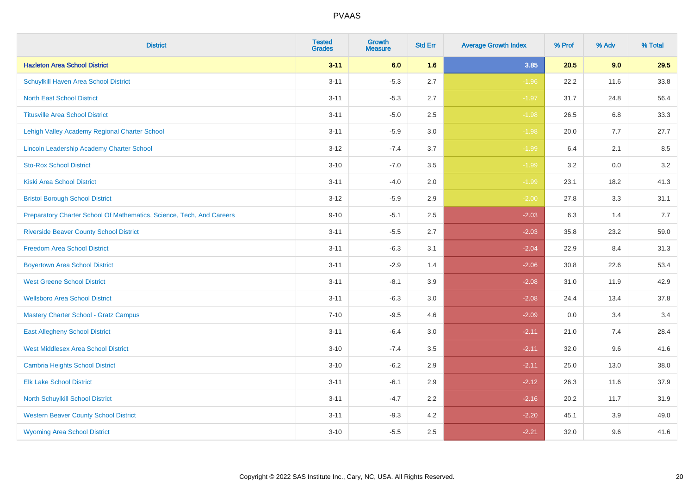| <b>District</b>                                                       | <b>Tested</b><br><b>Grades</b> | <b>Growth</b><br><b>Measure</b> | <b>Std Err</b> | <b>Average Growth Index</b> | % Prof | % Adv   | % Total |
|-----------------------------------------------------------------------|--------------------------------|---------------------------------|----------------|-----------------------------|--------|---------|---------|
| <b>Hazleton Area School District</b>                                  | $3 - 11$                       | 6.0                             | 1.6            | 3.85                        | 20.5   | 9.0     | 29.5    |
| Schuylkill Haven Area School District                                 | $3 - 11$                       | $-5.3$                          | 2.7            | $-1.96$                     | 22.2   | 11.6    | 33.8    |
| <b>North East School District</b>                                     | $3 - 11$                       | $-5.3$                          | 2.7            | $-1.97$                     | 31.7   | 24.8    | 56.4    |
| <b>Titusville Area School District</b>                                | $3 - 11$                       | $-5.0$                          | 2.5            | $-1.98$                     | 26.5   | 6.8     | 33.3    |
| Lehigh Valley Academy Regional Charter School                         | $3 - 11$                       | $-5.9$                          | 3.0            | $-1.98$                     | 20.0   | 7.7     | 27.7    |
| Lincoln Leadership Academy Charter School                             | $3 - 12$                       | $-7.4$                          | 3.7            | $-1.99$                     | 6.4    | 2.1     | 8.5     |
| <b>Sto-Rox School District</b>                                        | $3 - 10$                       | $-7.0$                          | 3.5            | $-1.99$                     | 3.2    | $0.0\,$ | 3.2     |
| <b>Kiski Area School District</b>                                     | $3 - 11$                       | $-4.0$                          | 2.0            | $-1.99$                     | 23.1   | 18.2    | 41.3    |
| <b>Bristol Borough School District</b>                                | $3 - 12$                       | $-5.9$                          | 2.9            | $-2.00$                     | 27.8   | 3.3     | 31.1    |
| Preparatory Charter School Of Mathematics, Science, Tech, And Careers | $9 - 10$                       | $-5.1$                          | $2.5\,$        | $-2.03$                     | 6.3    | 1.4     | 7.7     |
| <b>Riverside Beaver County School District</b>                        | $3 - 11$                       | $-5.5$                          | 2.7            | $-2.03$                     | 35.8   | 23.2    | 59.0    |
| <b>Freedom Area School District</b>                                   | $3 - 11$                       | $-6.3$                          | 3.1            | $-2.04$                     | 22.9   | 8.4     | 31.3    |
| <b>Boyertown Area School District</b>                                 | $3 - 11$                       | $-2.9$                          | 1.4            | $-2.06$                     | 30.8   | 22.6    | 53.4    |
| <b>West Greene School District</b>                                    | $3 - 11$                       | $-8.1$                          | 3.9            | $-2.08$                     | 31.0   | 11.9    | 42.9    |
| <b>Wellsboro Area School District</b>                                 | $3 - 11$                       | $-6.3$                          | 3.0            | $-2.08$                     | 24.4   | 13.4    | 37.8    |
| <b>Mastery Charter School - Gratz Campus</b>                          | $7 - 10$                       | $-9.5$                          | 4.6            | $-2.09$                     | 0.0    | 3.4     | 3.4     |
| <b>East Allegheny School District</b>                                 | $3 - 11$                       | $-6.4$                          | 3.0            | $-2.11$                     | 21.0   | 7.4     | 28.4    |
| <b>West Middlesex Area School District</b>                            | $3 - 10$                       | $-7.4$                          | 3.5            | $-2.11$                     | 32.0   | 9.6     | 41.6    |
| <b>Cambria Heights School District</b>                                | $3 - 10$                       | $-6.2$                          | 2.9            | $-2.11$                     | 25.0   | 13.0    | 38.0    |
| <b>Elk Lake School District</b>                                       | $3 - 11$                       | $-6.1$                          | 2.9            | $-2.12$                     | 26.3   | 11.6    | 37.9    |
| North Schuylkill School District                                      | $3 - 11$                       | $-4.7$                          | 2.2            | $-2.16$                     | 20.2   | 11.7    | 31.9    |
| <b>Western Beaver County School District</b>                          | $3 - 11$                       | $-9.3$                          | 4.2            | $-2.20$                     | 45.1   | 3.9     | 49.0    |
| <b>Wyoming Area School District</b>                                   | $3 - 10$                       | $-5.5$                          | 2.5            | $-2.21$                     | 32.0   | 9.6     | 41.6    |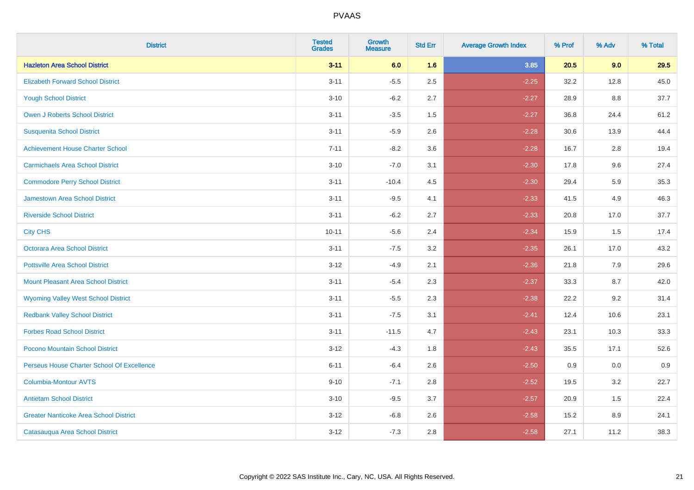| <b>District</b>                               | <b>Tested</b><br><b>Grades</b> | <b>Growth</b><br><b>Measure</b> | <b>Std Err</b> | <b>Average Growth Index</b> | % Prof | % Adv | % Total |
|-----------------------------------------------|--------------------------------|---------------------------------|----------------|-----------------------------|--------|-------|---------|
| <b>Hazleton Area School District</b>          | $3 - 11$                       | 6.0                             | 1.6            | 3.85                        | 20.5   | 9.0   | 29.5    |
| <b>Elizabeth Forward School District</b>      | $3 - 11$                       | $-5.5$                          | 2.5            | $-2.25$                     | 32.2   | 12.8  | 45.0    |
| <b>Yough School District</b>                  | $3 - 10$                       | $-6.2$                          | 2.7            | $-2.27$                     | 28.9   | 8.8   | 37.7    |
| <b>Owen J Roberts School District</b>         | $3 - 11$                       | $-3.5$                          | 1.5            | $-2.27$                     | 36.8   | 24.4  | 61.2    |
| <b>Susquenita School District</b>             | $3 - 11$                       | $-5.9$                          | 2.6            | $-2.28$                     | 30.6   | 13.9  | 44.4    |
| <b>Achievement House Charter School</b>       | $7 - 11$                       | $-8.2$                          | 3.6            | $-2.28$                     | 16.7   | 2.8   | 19.4    |
| <b>Carmichaels Area School District</b>       | $3 - 10$                       | $-7.0$                          | 3.1            | $-2.30$                     | 17.8   | 9.6   | 27.4    |
| <b>Commodore Perry School District</b>        | $3 - 11$                       | $-10.4$                         | 4.5            | $-2.30$                     | 29.4   | 5.9   | 35.3    |
| <b>Jamestown Area School District</b>         | $3 - 11$                       | $-9.5$                          | 4.1            | $-2.33$                     | 41.5   | 4.9   | 46.3    |
| <b>Riverside School District</b>              | $3 - 11$                       | $-6.2$                          | 2.7            | $-2.33$                     | 20.8   | 17.0  | 37.7    |
| <b>City CHS</b>                               | $10 - 11$                      | $-5.6$                          | 2.4            | $-2.34$                     | 15.9   | 1.5   | 17.4    |
| Octorara Area School District                 | $3 - 11$                       | $-7.5$                          | 3.2            | $-2.35$                     | 26.1   | 17.0  | 43.2    |
| <b>Pottsville Area School District</b>        | $3 - 12$                       | $-4.9$                          | 2.1            | $-2.36$                     | 21.8   | 7.9   | 29.6    |
| <b>Mount Pleasant Area School District</b>    | $3 - 11$                       | $-5.4$                          | 2.3            | $-2.37$                     | 33.3   | 8.7   | 42.0    |
| <b>Wyoming Valley West School District</b>    | $3 - 11$                       | $-5.5$                          | 2.3            | $-2.38$                     | 22.2   | 9.2   | 31.4    |
| <b>Redbank Valley School District</b>         | $3 - 11$                       | $-7.5$                          | 3.1            | $-2.41$                     | 12.4   | 10.6  | 23.1    |
| <b>Forbes Road School District</b>            | $3 - 11$                       | $-11.5$                         | 4.7            | $-2.43$                     | 23.1   | 10.3  | 33.3    |
| Pocono Mountain School District               | $3 - 12$                       | $-4.3$                          | 1.8            | $-2.43$                     | 35.5   | 17.1  | 52.6    |
| Perseus House Charter School Of Excellence    | $6 - 11$                       | $-6.4$                          | 2.6            | $-2.50$                     | 0.9    | 0.0   | 0.9     |
| <b>Columbia-Montour AVTS</b>                  | $9 - 10$                       | $-7.1$                          | 2.8            | $-2.52$                     | 19.5   | 3.2   | 22.7    |
| <b>Antietam School District</b>               | $3 - 10$                       | $-9.5$                          | 3.7            | $-2.57$                     | 20.9   | 1.5   | 22.4    |
| <b>Greater Nanticoke Area School District</b> | $3 - 12$                       | $-6.8$                          | 2.6            | $-2.58$                     | 15.2   | 8.9   | 24.1    |
| Catasauqua Area School District               | $3 - 12$                       | $-7.3$                          | 2.8            | $-2.58$                     | 27.1   | 11.2  | 38.3    |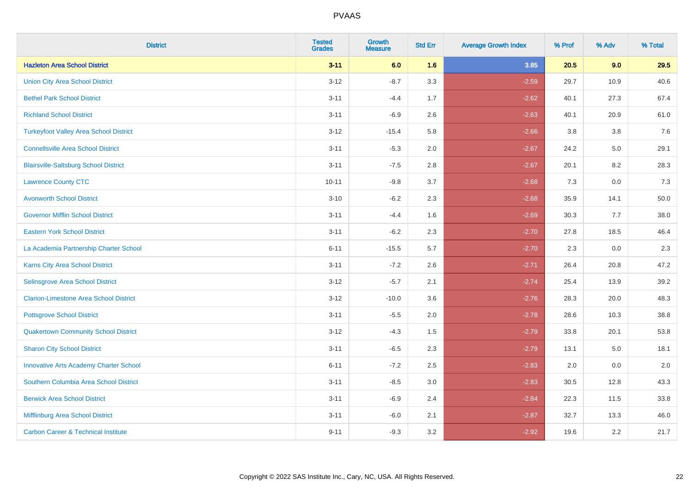| <b>District</b>                                | <b>Tested</b><br><b>Grades</b> | <b>Growth</b><br><b>Measure</b> | <b>Std Err</b> | <b>Average Growth Index</b> | % Prof | % Adv | % Total |
|------------------------------------------------|--------------------------------|---------------------------------|----------------|-----------------------------|--------|-------|---------|
| <b>Hazleton Area School District</b>           | $3 - 11$                       | 6.0                             | 1.6            | 3.85                        | 20.5   | 9.0   | 29.5    |
| <b>Union City Area School District</b>         | $3 - 12$                       | $-8.7$                          | 3.3            | $-2.59$                     | 29.7   | 10.9  | 40.6    |
| <b>Bethel Park School District</b>             | $3 - 11$                       | $-4.4$                          | 1.7            | $-2.62$                     | 40.1   | 27.3  | 67.4    |
| <b>Richland School District</b>                | $3 - 11$                       | $-6.9$                          | 2.6            | $-2.63$                     | 40.1   | 20.9  | 61.0    |
| <b>Turkeyfoot Valley Area School District</b>  | $3 - 12$                       | $-15.4$                         | 5.8            | $-2.66$                     | 3.8    | 3.8   | 7.6     |
| <b>Connellsville Area School District</b>      | $3 - 11$                       | $-5.3$                          | 2.0            | $-2.67$                     | 24.2   | 5.0   | 29.1    |
| <b>Blairsville-Saltsburg School District</b>   | $3 - 11$                       | $-7.5$                          | 2.8            | $-2.67$                     | 20.1   | 8.2   | 28.3    |
| <b>Lawrence County CTC</b>                     | $10 - 11$                      | $-9.8$                          | 3.7            | $-2.68$                     | 7.3    | 0.0   | 7.3     |
| <b>Avonworth School District</b>               | $3 - 10$                       | $-6.2$                          | 2.3            | $-2.68$                     | 35.9   | 14.1  | 50.0    |
| <b>Governor Mifflin School District</b>        | $3 - 11$                       | $-4.4$                          | 1.6            | $-2.69$                     | 30.3   | 7.7   | 38.0    |
| <b>Eastern York School District</b>            | $3 - 11$                       | $-6.2$                          | 2.3            | $-2.70$                     | 27.8   | 18.5  | 46.4    |
| La Academia Partnership Charter School         | $6 - 11$                       | $-15.5$                         | 5.7            | $-2.70$                     | 2.3    | 0.0   | 2.3     |
| Karns City Area School District                | $3 - 11$                       | $-7.2$                          | 2.6            | $-2.71$                     | 26.4   | 20.8  | 47.2    |
| Selinsgrove Area School District               | $3 - 12$                       | $-5.7$                          | 2.1            | $-2.74$                     | 25.4   | 13.9  | 39.2    |
| <b>Clarion-Limestone Area School District</b>  | $3 - 12$                       | $-10.0$                         | 3.6            | $-2.76$                     | 28.3   | 20.0  | 48.3    |
| <b>Pottsgrove School District</b>              | $3 - 11$                       | $-5.5$                          | 2.0            | $-2.78$                     | 28.6   | 10.3  | 38.8    |
| <b>Quakertown Community School District</b>    | $3 - 12$                       | $-4.3$                          | 1.5            | $-2.79$                     | 33.8   | 20.1  | 53.8    |
| <b>Sharon City School District</b>             | $3 - 11$                       | $-6.5$                          | 2.3            | $-2.79$                     | 13.1   | 5.0   | 18.1    |
| <b>Innovative Arts Academy Charter School</b>  | $6 - 11$                       | $-7.2$                          | 2.5            | $-2.83$                     | 2.0    | 0.0   | 2.0     |
| Southern Columbia Area School District         | $3 - 11$                       | $-8.5$                          | 3.0            | $-2.83$                     | 30.5   | 12.8  | 43.3    |
| <b>Berwick Area School District</b>            | $3 - 11$                       | $-6.9$                          | 2.4            | $-2.84$                     | 22.3   | 11.5  | 33.8    |
| Mifflinburg Area School District               | $3 - 11$                       | $-6.0$                          | 2.1            | $-2.87$                     | 32.7   | 13.3  | 46.0    |
| <b>Carbon Career &amp; Technical Institute</b> | $9 - 11$                       | $-9.3$                          | 3.2            | $-2.92$                     | 19.6   | 2.2   | 21.7    |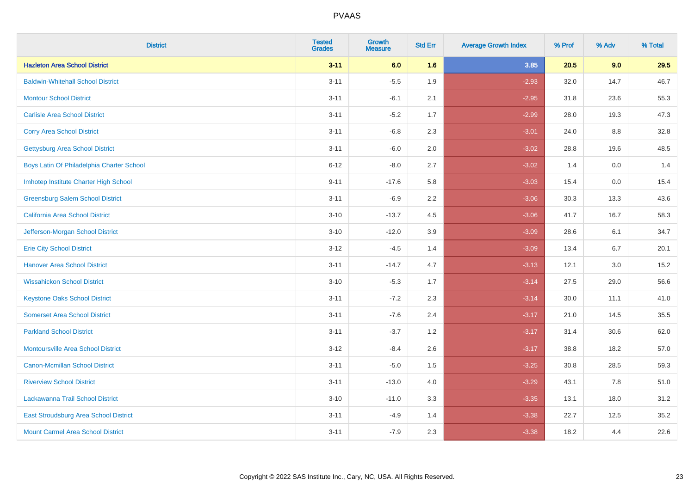| <b>District</b>                           | <b>Tested</b><br><b>Grades</b> | <b>Growth</b><br><b>Measure</b> | <b>Std Err</b> | <b>Average Growth Index</b> | % Prof | % Adv   | % Total |
|-------------------------------------------|--------------------------------|---------------------------------|----------------|-----------------------------|--------|---------|---------|
| <b>Hazleton Area School District</b>      | $3 - 11$                       | 6.0                             | 1.6            | 3.85                        | 20.5   | 9.0     | 29.5    |
| <b>Baldwin-Whitehall School District</b>  | $3 - 11$                       | $-5.5$                          | 1.9            | $-2.93$                     | 32.0   | 14.7    | 46.7    |
| <b>Montour School District</b>            | $3 - 11$                       | $-6.1$                          | 2.1            | $-2.95$                     | 31.8   | 23.6    | 55.3    |
| <b>Carlisle Area School District</b>      | $3 - 11$                       | $-5.2$                          | 1.7            | $-2.99$                     | 28.0   | 19.3    | 47.3    |
| <b>Corry Area School District</b>         | $3 - 11$                       | $-6.8$                          | 2.3            | $-3.01$                     | 24.0   | 8.8     | 32.8    |
| <b>Gettysburg Area School District</b>    | $3 - 11$                       | $-6.0$                          | 2.0            | $-3.02$                     | 28.8   | 19.6    | 48.5    |
| Boys Latin Of Philadelphia Charter School | $6 - 12$                       | $-8.0$                          | 2.7            | $-3.02$                     | 1.4    | 0.0     | 1.4     |
| Imhotep Institute Charter High School     | $9 - 11$                       | $-17.6$                         | 5.8            | $-3.03$                     | 15.4   | 0.0     | 15.4    |
| <b>Greensburg Salem School District</b>   | $3 - 11$                       | $-6.9$                          | 2.2            | $-3.06$                     | 30.3   | 13.3    | 43.6    |
| California Area School District           | $3 - 10$                       | $-13.7$                         | 4.5            | $-3.06$                     | 41.7   | 16.7    | 58.3    |
| Jefferson-Morgan School District          | $3 - 10$                       | $-12.0$                         | 3.9            | $-3.09$                     | 28.6   | 6.1     | 34.7    |
| <b>Erie City School District</b>          | $3 - 12$                       | $-4.5$                          | 1.4            | $-3.09$                     | 13.4   | 6.7     | 20.1    |
| <b>Hanover Area School District</b>       | $3 - 11$                       | $-14.7$                         | 4.7            | $-3.13$                     | 12.1   | $3.0\,$ | 15.2    |
| <b>Wissahickon School District</b>        | $3 - 10$                       | $-5.3$                          | 1.7            | $-3.14$                     | 27.5   | 29.0    | 56.6    |
| <b>Keystone Oaks School District</b>      | $3 - 11$                       | $-7.2$                          | 2.3            | $-3.14$                     | 30.0   | 11.1    | 41.0    |
| <b>Somerset Area School District</b>      | $3 - 11$                       | $-7.6$                          | 2.4            | $-3.17$                     | 21.0   | 14.5    | 35.5    |
| <b>Parkland School District</b>           | $3 - 11$                       | $-3.7$                          | 1.2            | $-3.17$                     | 31.4   | 30.6    | 62.0    |
| <b>Montoursville Area School District</b> | $3 - 12$                       | $-8.4$                          | 2.6            | $-3.17$                     | 38.8   | 18.2    | 57.0    |
| <b>Canon-Mcmillan School District</b>     | $3 - 11$                       | $-5.0$                          | 1.5            | $-3.25$                     | 30.8   | 28.5    | 59.3    |
| <b>Riverview School District</b>          | $3 - 11$                       | $-13.0$                         | 4.0            | $-3.29$                     | 43.1   | 7.8     | 51.0    |
| Lackawanna Trail School District          | $3 - 10$                       | $-11.0$                         | 3.3            | $-3.35$                     | 13.1   | 18.0    | 31.2    |
| East Stroudsburg Area School District     | $3 - 11$                       | $-4.9$                          | 1.4            | $-3.38$                     | 22.7   | 12.5    | 35.2    |
| <b>Mount Carmel Area School District</b>  | $3 - 11$                       | $-7.9$                          | 2.3            | $-3.38$                     | 18.2   | 4.4     | 22.6    |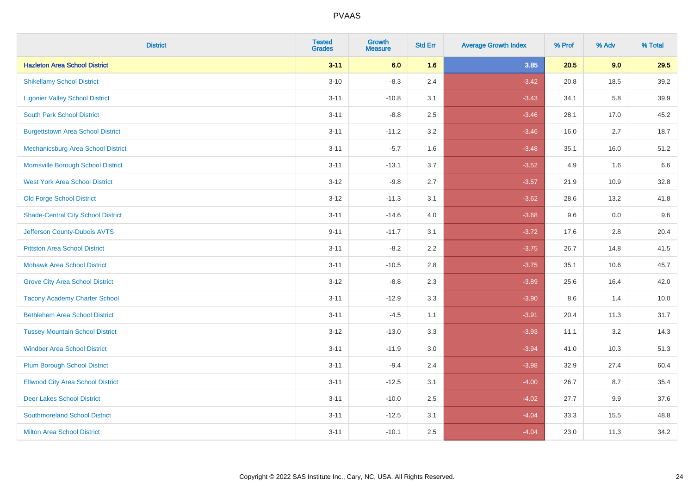| <b>District</b>                           | <b>Tested</b><br><b>Grades</b> | <b>Growth</b><br><b>Measure</b> | <b>Std Err</b> | <b>Average Growth Index</b> | % Prof | % Adv | % Total |
|-------------------------------------------|--------------------------------|---------------------------------|----------------|-----------------------------|--------|-------|---------|
| <b>Hazleton Area School District</b>      | $3 - 11$                       | 6.0                             | 1.6            | 3.85                        | 20.5   | 9.0   | 29.5    |
| <b>Shikellamy School District</b>         | $3 - 10$                       | $-8.3$                          | 2.4            | $-3.42$                     | 20.8   | 18.5  | 39.2    |
| <b>Ligonier Valley School District</b>    | $3 - 11$                       | $-10.8$                         | 3.1            | $-3.43$                     | 34.1   | 5.8   | 39.9    |
| <b>South Park School District</b>         | $3 - 11$                       | $-8.8$                          | 2.5            | $-3.46$                     | 28.1   | 17.0  | 45.2    |
| <b>Burgettstown Area School District</b>  | $3 - 11$                       | $-11.2$                         | 3.2            | $-3.46$                     | 16.0   | 2.7   | 18.7    |
| Mechanicsburg Area School District        | $3 - 11$                       | $-5.7$                          | 1.6            | $-3.48$                     | 35.1   | 16.0  | 51.2    |
| Morrisville Borough School District       | $3 - 11$                       | $-13.1$                         | 3.7            | $-3.52$                     | 4.9    | 1.6   | 6.6     |
| <b>West York Area School District</b>     | $3 - 12$                       | $-9.8$                          | 2.7            | $-3.57$                     | 21.9   | 10.9  | 32.8    |
| <b>Old Forge School District</b>          | $3 - 12$                       | $-11.3$                         | 3.1            | $-3.62$                     | 28.6   | 13.2  | 41.8    |
| <b>Shade-Central City School District</b> | $3 - 11$                       | $-14.6$                         | 4.0            | $-3.68$                     | 9.6    | 0.0   | 9.6     |
| Jefferson County-Dubois AVTS              | $9 - 11$                       | $-11.7$                         | 3.1            | $-3.72$                     | 17.6   | 2.8   | 20.4    |
| <b>Pittston Area School District</b>      | $3 - 11$                       | $-8.2$                          | 2.2            | $-3.75$                     | 26.7   | 14.8  | 41.5    |
| <b>Mohawk Area School District</b>        | $3 - 11$                       | $-10.5$                         | 2.8            | $-3.75$                     | 35.1   | 10.6  | 45.7    |
| <b>Grove City Area School District</b>    | $3 - 12$                       | $-8.8$                          | 2.3            | $-3.89$                     | 25.6   | 16.4  | 42.0    |
| <b>Tacony Academy Charter School</b>      | $3 - 11$                       | $-12.9$                         | 3.3            | $-3.90$                     | 8.6    | 1.4   | 10.0    |
| <b>Bethlehem Area School District</b>     | $3 - 11$                       | $-4.5$                          | 1.1            | $-3.91$                     | 20.4   | 11.3  | 31.7    |
| <b>Tussey Mountain School District</b>    | $3 - 12$                       | $-13.0$                         | 3.3            | $-3.93$                     | 11.1   | 3.2   | 14.3    |
| <b>Windber Area School District</b>       | $3 - 11$                       | $-11.9$                         | 3.0            | $-3.94$                     | 41.0   | 10.3  | 51.3    |
| <b>Plum Borough School District</b>       | $3 - 11$                       | $-9.4$                          | 2.4            | $-3.98$                     | 32.9   | 27.4  | 60.4    |
| <b>Ellwood City Area School District</b>  | $3 - 11$                       | $-12.5$                         | 3.1            | $-4.00$                     | 26.7   | 8.7   | 35.4    |
| <b>Deer Lakes School District</b>         | $3 - 11$                       | $-10.0$                         | 2.5            | $-4.02$                     | 27.7   | 9.9   | 37.6    |
| <b>Southmoreland School District</b>      | $3 - 11$                       | $-12.5$                         | 3.1            | $-4.04$                     | 33.3   | 15.5  | 48.8    |
| <b>Milton Area School District</b>        | $3 - 11$                       | $-10.1$                         | 2.5            | $-4.04$                     | 23.0   | 11.3  | 34.2    |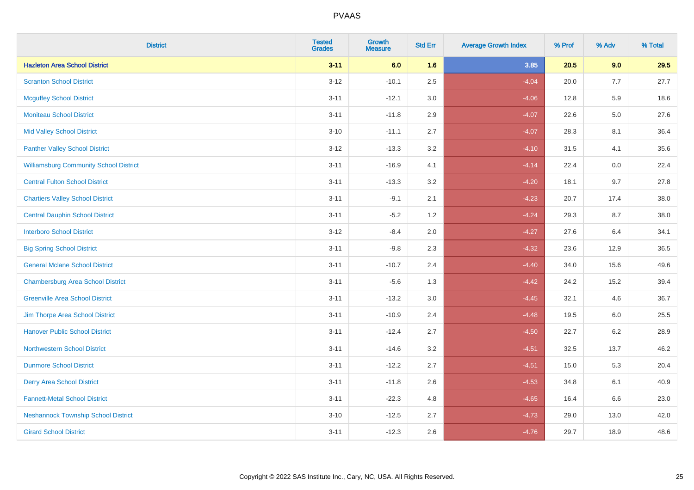| <b>District</b>                               | <b>Tested</b><br>Grades | <b>Growth</b><br><b>Measure</b> | <b>Std Err</b> | <b>Average Growth Index</b> | % Prof | % Adv   | % Total |
|-----------------------------------------------|-------------------------|---------------------------------|----------------|-----------------------------|--------|---------|---------|
| <b>Hazleton Area School District</b>          | $3 - 11$                | 6.0                             | 1.6            | 3.85                        | 20.5   | 9.0     | 29.5    |
| <b>Scranton School District</b>               | $3 - 12$                | $-10.1$                         | 2.5            | $-4.04$                     | 20.0   | 7.7     | 27.7    |
| <b>Mcguffey School District</b>               | $3 - 11$                | $-12.1$                         | 3.0            | $-4.06$                     | 12.8   | 5.9     | 18.6    |
| <b>Moniteau School District</b>               | $3 - 11$                | $-11.8$                         | 2.9            | $-4.07$                     | 22.6   | $5.0\,$ | 27.6    |
| <b>Mid Valley School District</b>             | $3 - 10$                | $-11.1$                         | 2.7            | $-4.07$                     | 28.3   | 8.1     | 36.4    |
| <b>Panther Valley School District</b>         | $3 - 12$                | $-13.3$                         | 3.2            | $-4.10$                     | 31.5   | 4.1     | 35.6    |
| <b>Williamsburg Community School District</b> | $3 - 11$                | $-16.9$                         | 4.1            | $-4.14$                     | 22.4   | 0.0     | 22.4    |
| <b>Central Fulton School District</b>         | $3 - 11$                | $-13.3$                         | 3.2            | $-4.20$                     | 18.1   | 9.7     | 27.8    |
| <b>Chartiers Valley School District</b>       | $3 - 11$                | $-9.1$                          | 2.1            | $-4.23$                     | 20.7   | 17.4    | 38.0    |
| <b>Central Dauphin School District</b>        | $3 - 11$                | $-5.2$                          | 1.2            | $-4.24$                     | 29.3   | 8.7     | 38.0    |
| <b>Interboro School District</b>              | $3-12$                  | $-8.4$                          | 2.0            | $-4.27$                     | 27.6   | 6.4     | 34.1    |
| <b>Big Spring School District</b>             | $3 - 11$                | $-9.8$                          | 2.3            | $-4.32$                     | 23.6   | 12.9    | 36.5    |
| <b>General Mclane School District</b>         | $3 - 11$                | $-10.7$                         | 2.4            | $-4.40$                     | 34.0   | 15.6    | 49.6    |
| <b>Chambersburg Area School District</b>      | $3 - 11$                | $-5.6$                          | 1.3            | $-4.42$                     | 24.2   | 15.2    | 39.4    |
| <b>Greenville Area School District</b>        | $3 - 11$                | $-13.2$                         | $3.0\,$        | $-4.45$                     | 32.1   | 4.6     | 36.7    |
| Jim Thorpe Area School District               | $3 - 11$                | $-10.9$                         | 2.4            | $-4.48$                     | 19.5   | 6.0     | 25.5    |
| <b>Hanover Public School District</b>         | $3 - 11$                | $-12.4$                         | 2.7            | $-4.50$                     | 22.7   | $6.2\,$ | 28.9    |
| <b>Northwestern School District</b>           | $3 - 11$                | $-14.6$                         | 3.2            | $-4.51$                     | 32.5   | 13.7    | 46.2    |
| <b>Dunmore School District</b>                | $3 - 11$                | $-12.2$                         | 2.7            | $-4.51$                     | 15.0   | 5.3     | 20.4    |
| <b>Derry Area School District</b>             | $3 - 11$                | $-11.8$                         | 2.6            | $-4.53$                     | 34.8   | 6.1     | 40.9    |
| <b>Fannett-Metal School District</b>          | $3 - 11$                | $-22.3$                         | 4.8            | $-4.65$                     | 16.4   | 6.6     | 23.0    |
| <b>Neshannock Township School District</b>    | $3 - 10$                | $-12.5$                         | 2.7            | $-4.73$                     | 29.0   | 13.0    | 42.0    |
| <b>Girard School District</b>                 | $3 - 11$                | $-12.3$                         | 2.6            | $-4.76$                     | 29.7   | 18.9    | 48.6    |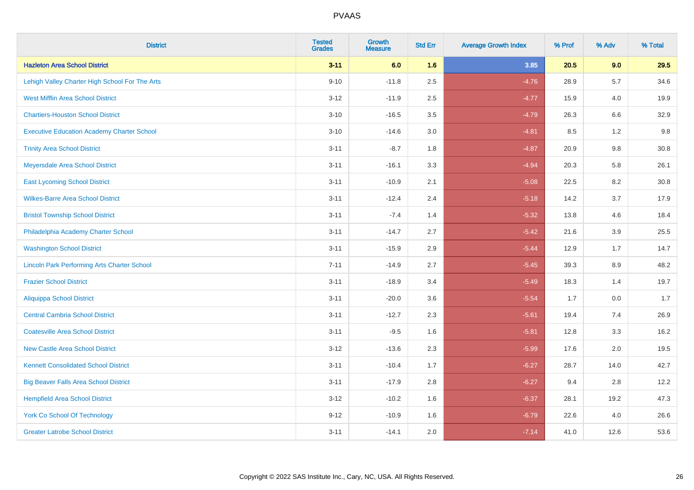| <b>District</b>                                    | <b>Tested</b><br><b>Grades</b> | <b>Growth</b><br><b>Measure</b> | <b>Std Err</b> | <b>Average Growth Index</b> | % Prof | % Adv   | % Total |
|----------------------------------------------------|--------------------------------|---------------------------------|----------------|-----------------------------|--------|---------|---------|
| <b>Hazleton Area School District</b>               | $3 - 11$                       | 6.0                             | 1.6            | 3.85                        | 20.5   | 9.0     | 29.5    |
| Lehigh Valley Charter High School For The Arts     | $9 - 10$                       | $-11.8$                         | 2.5            | $-4.76$                     | 28.9   | 5.7     | 34.6    |
| <b>West Mifflin Area School District</b>           | $3 - 12$                       | $-11.9$                         | 2.5            | $-4.77$                     | 15.9   | 4.0     | 19.9    |
| <b>Chartiers-Houston School District</b>           | $3 - 10$                       | $-16.5$                         | 3.5            | $-4.79$                     | 26.3   | 6.6     | 32.9    |
| <b>Executive Education Academy Charter School</b>  | $3 - 10$                       | $-14.6$                         | 3.0            | $-4.81$                     | 8.5    | 1.2     | 9.8     |
| <b>Trinity Area School District</b>                | $3 - 11$                       | $-8.7$                          | 1.8            | $-4.87$                     | 20.9   | 9.8     | 30.8    |
| Meyersdale Area School District                    | $3 - 11$                       | $-16.1$                         | 3.3            | $-4.94$                     | 20.3   | 5.8     | 26.1    |
| <b>East Lycoming School District</b>               | $3 - 11$                       | $-10.9$                         | 2.1            | $-5.08$                     | 22.5   | 8.2     | 30.8    |
| <b>Wilkes-Barre Area School District</b>           | $3 - 11$                       | $-12.4$                         | 2.4            | $-5.18$                     | 14.2   | 3.7     | 17.9    |
| <b>Bristol Township School District</b>            | $3 - 11$                       | $-7.4$                          | 1.4            | $-5.32$                     | 13.8   | 4.6     | 18.4    |
| Philadelphia Academy Charter School                | $3 - 11$                       | $-14.7$                         | 2.7            | $-5.42$                     | 21.6   | 3.9     | 25.5    |
| <b>Washington School District</b>                  | $3 - 11$                       | $-15.9$                         | 2.9            | $-5.44$                     | 12.9   | 1.7     | 14.7    |
| <b>Lincoln Park Performing Arts Charter School</b> | $7 - 11$                       | $-14.9$                         | 2.7            | $-5.45$                     | 39.3   | $8.9\,$ | 48.2    |
| <b>Frazier School District</b>                     | $3 - 11$                       | $-18.9$                         | 3.4            | $-5.49$                     | 18.3   | 1.4     | 19.7    |
| <b>Aliquippa School District</b>                   | $3 - 11$                       | $-20.0$                         | 3.6            | $-5.54$                     | 1.7    | 0.0     | 1.7     |
| <b>Central Cambria School District</b>             | $3 - 11$                       | $-12.7$                         | 2.3            | $-5.61$                     | 19.4   | 7.4     | 26.9    |
| <b>Coatesville Area School District</b>            | $3 - 11$                       | $-9.5$                          | 1.6            | $-5.81$                     | 12.8   | 3.3     | 16.2    |
| <b>New Castle Area School District</b>             | $3 - 12$                       | $-13.6$                         | 2.3            | $-5.99$                     | 17.6   | 2.0     | 19.5    |
| <b>Kennett Consolidated School District</b>        | $3 - 11$                       | $-10.4$                         | 1.7            | $-6.27$                     | 28.7   | 14.0    | 42.7    |
| <b>Big Beaver Falls Area School District</b>       | $3 - 11$                       | $-17.9$                         | 2.8            | $-6.27$                     | 9.4    | 2.8     | 12.2    |
| <b>Hempfield Area School District</b>              | $3 - 12$                       | $-10.2$                         | 1.6            | $-6.37$                     | 28.1   | 19.2    | 47.3    |
| York Co School Of Technology                       | $9 - 12$                       | $-10.9$                         | 1.6            | $-6.79$                     | 22.6   | 4.0     | 26.6    |
| <b>Greater Latrobe School District</b>             | $3 - 11$                       | $-14.1$                         | 2.0            | $-7.14$                     | 41.0   | 12.6    | 53.6    |